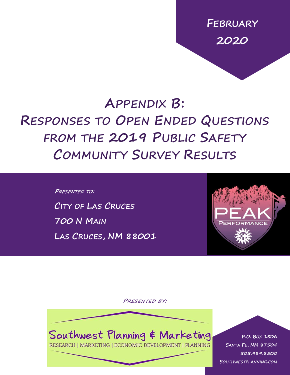**FEBRUARY 2020**

# **APPENDIX B: RESPONSES TO OPEN ENDED QUESTIONS FROM THE 2019 PUBLIC SAFETY COMMUNITY SURVEY RESULTS**

**PRESENTED TO: CITY OF LAS CRUCES 700 N MAIN LAS CRUCES, NM 88001**



**PRESENTED BY:**



RESEARCH | MARKETING | ECONOMIC DEVELOPMENT | PLANNING

0 | P a g e **505.989.8500 P.O. BOX 1506 SANTA FE, NM 87504 SOUTHWESTPLANNING.COM**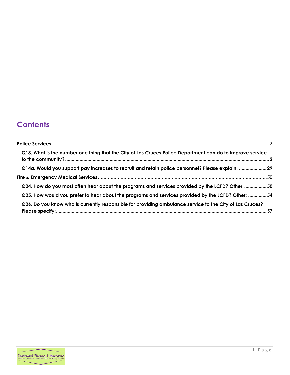# **Contents**

| Q13. What is the number one thing that the City of Las Cruces Police Department can do to improve service |  |
|-----------------------------------------------------------------------------------------------------------|--|
| Q14a. Would you support pay increases to recruit and retain police personnel? Please explain: 29          |  |
|                                                                                                           |  |
| Q24. How do you most often hear about the programs and services provided by the LCFD? Other:  50          |  |
| Q25. How would you prefer to hear about the programs and services provided by the LCFD? Other:  54        |  |
| Q26. Do you know who is currently responsible for providing ambulance service to the City of Las Cruces?  |  |

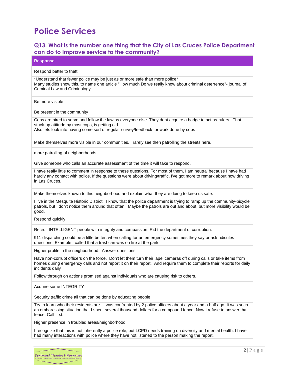# <span id="page-2-0"></span>**Police Services**

### <span id="page-2-1"></span>**Q13. What is the number one thing that the City of Las Cruces Police Department can do to improve service to the community?**

**Response**

#### Respond better to theft

\*Understand that fewer police may be just as or more safe than more police\* Many studies show this, to name one article "How much Do we really know about criminal deterrence"- journal of Criminal Law and Criminology.

Be more visible

Be present in the community

Cops are hired to serve and follow the law as everyone else. They dont acquire a badge to act as rulers. That stuck-up attitude by most cops, is getting old.

Also lets look into having some sort of regular survey/feedback for work done by cops

Make themselves more visible in our communities. I rarely see then patrolling the streets here.

more patrolling of neighborhoods

Give someone who calls an accurate assessment of the time it will take to respond.

I have really little to comment in response to these questions. For most of them, I am neutral because I have had hardly any contact with police. If the questions were about driving/traffic, I've got more to remark about how driving in Las Cruces.

Make themselves known to this neighborhood and explain what they are doing to keep us safe.

I live in the Mesquite Historic District. I know that the police department is trying to ramp up the community-bicycle patrols, but I don't notice them around that often. Maybe the patrols are out and about, but more visibility would be good.

Respond quickly

Recruit INTELLIGENT people with integrity and compassion. Rid the department of corruption.

911 dispatching could be a little better. when calling for an emergency sometimes they say or ask ridicules questions. Example I called that a trashcan was on fire at the park,

Higher profile in the neighborhood. Answer questions

Have non-corrupt officers on the force. Don't let them turn their lapel cameras off during calls or take items from homes during emergency calls and not report it on their report. And require them to complete their reports for daily incidents daily

Follow through on actions promised against individuals who are causing risk to others.

Acquire some INTEGRITY

Security traffic crime all that can be done by educating people

Try to learn who their residents are. I was confronted by 2 police officers about a year and a half ago. It was such an embarassing situation that I spent several thousand dollars for a compound fence. Now I refuse to answer that fence. Call first.

Higher presence in troubled areas/neighborhood.

I recognize that this is not inherently a police role, but LCPD needs training on diversity and mental health. I have had many interactions with police where they have not listened to the person making the report.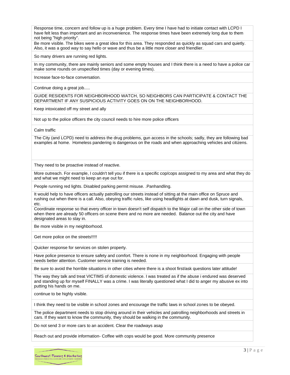Response time, concern and follow up is a huge problem. Every time I have had to initiate contact with LCPD I have felt less than important and an inconvenience. The response times have been extremely long due to them not being "high priority".

Be more visible. The bikes were a great idea for this area. They responded as quickly as squad cars and quietly. Also, it was a good way to say hello or wave and thus be a little more closer and friendlier.

So many drivers are running red lights.

In my community, there are mainly seniors and some empty houses and I think there is a need to have a police car make some rounds on unspecified times (day or evening times).

Increase face-to-face conversation.

Continue doing a great job.....

GUIDE RESIDENTS FOR NEIGHBORHOOD WATCH, SO NEIGHBORS CAN PARTICIPATE & CONTACT THE DEPARTMENT IF ANY SUSPICIOUS ACTIVITY GOES ON ON THE NEIGHBORHOOD.

Keep intoxicated off my street and ally

Not up to the police officers the city council needs to hire more police officers

Calm traffic

The City (and LCPD) need to address the drug problems, gun access in the schools; sadly, they are following bad examples at home. Homeless pandering is dangerous on the roads and when approaching vehicles and citizens.

They need to be proactive instead of reactive.

More outreach. For example, I couldn't tell you if there is a specific cop/cops assigned to my area and what they do and what we might need to keep an eye out for.

People running red lights. Disabled parking permit misuse. .Panhandling.

It would help to have officers actually patrolling our streets instead of sitting at the main office on Spruce and rushing out when there is a call. Also, obeying traffic rules, like using headlights at dawn and dusk, turn signals, etc.

Coordinate response so that every officer in town doesn't self dispatch to the Major call on the other side of town when there are already 50 officers on scene there and no more are needed. Balance out the city and have designated areas to stay in.

Be more visible in my neighborhood.

Get more police on the streets!!!!!

Quicker response for services on stolen property.

Have police presence to ensure safety and comfort. There is none in my neighborhood. Engaging with people needs better attention. Customer service training is needed.

Be sure to avoid the horrible situations in other cities where there is a shoot first/ask questions later attitude!

The way they talk and treat VICTIMS of domestic violence. I was treated as if the abuse i endured was deserved and standing up for myself FINALLY was a crime. I was literally questioned what I did to anger my abusive ex into putting his hands on me.

continue to be highly visible.

I think they need to be visible in school zones and encourage the traffic laws in school zones to be obeyed.

The police department needs to stop driving around in their vehicles and patrolling neighborhoods and streets in cars. If they want to know the community, they should be walking in the community.

Do not send 3 or more cars to an accident. Clear the roadways asap

Reach out and provide information- Coffee with cops would be good. More community presence

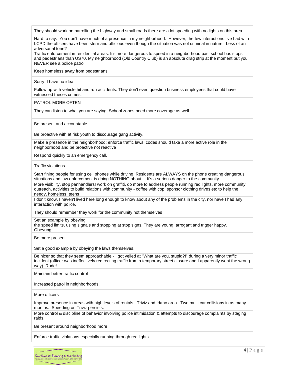They should work on patrolling the highway and small roads there are a lot speeding with no lights on this area

Hard to say. You don't have much of a presence in my neighborhood. However, the few interactions I've had with LCPD the officers have been stern and officious even though the situation was not criminal in nature. Less of an adversarial tone?

Traffic enforcement in residential areas. It's more dangerous to speed in a neighborhood past school bus stops and pedestrians than US70. My neighborhood (Old Country Club) is an absolute drag strip at the moment but you NEVER see a police patrol

Keep homeless away from pedestrians

Sorry, I have no idea

Follow up with vehicle hit and run accidents. They don't even question business employees that could have witnessed theses crimes.

PATROL MORE OFTEN

They can listen to what you are saying. School zones need more coverage as well

Be present and accountable.

Be proactive with at risk youth to discourage gang activity.

Make a presence in the neighborhood; enforce traffic laws; codes should take a more active role in the neighborhood and be proactive not reactive

Respond quickly to an emergency call.

Traffic violations

Start fining people for using cell phones while driving. Residents are ALWAYS on the phone creating dangerous situations and law enforcement is doing NOTHING about it. It's a serious danger to the community.

More visibility, stop panhandlers! work on graffiti, do more to address people running red lights, more community outreach, activities to build relations with community - coffee with cop, sponsor clothing drives etc to help the needy, homeless, teens

I don't know, I haven't lived here long enough to know about any of the problems in the city, nor have I had any interaction with police.

They should remember they work for the community not themselves

Set an example by obeying

the speed limits, using signals and stopping at stop signs. They are young, arrogant and trigger happy. Obeyung

Be more present

Set a good example by obeying the laws themselves.

Be nicer so that they seem approachable - I got yelled at "What are you, stupid?!" during a very minor traffic incident (officer was ineffectively redirecting traffic from a temporary street closure and I apparently went the wrong way). Rude!

Maintain better traffic control

Increased patrol in neighborhoods.

More officers

Improve presence in areas with high levels of rentals. Triviz and Idaho area. Two multi car collisions in as many months. Speeding on Triviz persists.

More control & discipline of behavior involving police intimidation & attempts to discourage complaints by staging raids.

Be present around neighborhood more

Enforce traffic violations,especially running through red lights.

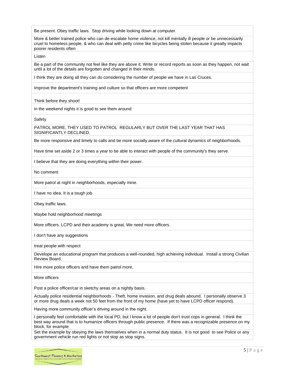Be present. Obey traffic laws. Stop driving while looking down at computer.

More & better trained police who can de-escalate home violence, not kill mentally ill people or be unnecessarily cruel to homeless people, & who can deal with petty crime like bicycles being stolen because it greatly impacts poorer residents often

Listen

Be a part of the community not feel like they are above it. Write or record reports as soon as they happen, not wait until a lot of the details are forgotten and changed in their minds.

I think they are doing all they can do considering the number of people we have in Las Cruces.

Improve the department's training and culture so that officers are more competent

Think before they shoot!

in the weekend nights it is good to see them around

Safety

PATROL MORE, THEY USED TO PATROL REGULARLY BUT OVER THE LAST YEAR THAT HAS SIGNIFICANTLY DECLINED.

Be more responsive and timely to calls and be more socially aware of the cultural dynamics of neighborhoods.

Have time set aside 2 or 3 times a year to be able to interact with people of the community's they serve.

I believe that they are doing everything within their power.

No comment

More patrol at night in neighborhoods, especially mine.

I have no idea. It is a tough job

Obey traffic laws.

Maybe hold neighborhood meetings

More officers. LCPD and their academy is great. We need more officers.

I don't have any suggestions

treat people with respect

Develope an educational program that produces a well-rounded, high achieving individual. Install a strong Civilian Review Board.

Hire more police officers and have them patrol more.

More officers

Post a police officer/car in sketchy areas on a nightly basis.

Actually police residential neighborhoods - Theft, home invasion, and drug deals abound. I personally observe 3 or more drug deals a week not 50 feet from the front of my home (have yet to have LCPD officer respond).

Having more community officer's driving around in the night.

I personally feel comfortable with the local PD, but I know a lot of people don't trust cops in general. I think the best way around that is to humanize officers through public presence. If there was a recognizable presence on my block, for example

Set the example by obeying the laws themselves when in a normal duty status. It is not good to see Police or any government vehicle run red lights or not stop as stop signs.

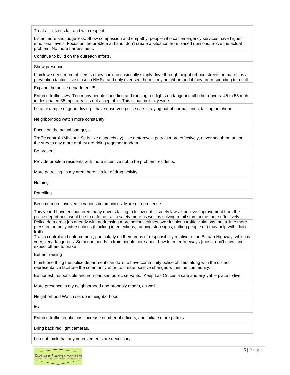Treat all citizens fair and with respect

Listen more and judge less. Show compassion and empathy, people who call emergency services have higher emotional levels. Focus on the problem at hand, don't create a situation from biased opinions. Solve the actual problem. No more harrassment.

Continue to build on the outreach efforts.

Show presence

I think we need more officers so they could occasionally simply drive through neighborhood streets on patrol, as a prevention tactic. I live close to NMSU and only ever see them in my neighborhood if they are responding to a call.

Expand the police department!!!!!!

Enforce traffic laws. Too many people speeding and running red lights endangering all other drivers. 45 to 55 mph in designated 35 mph areas is not acceptable. This situation is city wide.

be an example of good driving. I have observed police cars straying out of normal lanes, talking on phone

Neighborhood watch more constantly

Focus on the actual bad guys.

Traffic control. (MIssouri St. is like a speedway) Use motorcycle patrols more effectively, never see them out on the streets any more or they are riding together tandem.

Be present

Provide problem residents with more incentive not to be problem residents.

More patrolling. in my area there is a lot of drug activity

Nothing

**Patrolling** 

Become more involved in various communities. More of a presence.

This year, I have encountered many drivers failing to follow traffic safety laws. I believe improvement from the police department would be to enforce traffic safety more as well as solving retail store crime more effectively. Police do a great job already with addressing more serious crimes over frivolous traffic violations, but a little more pressure on busy intersections (blocking intersections, running stop signs, cutting people off) may help with idiotic traffic.

Traffic control and enforcement, particularly on their areas of responsibility relative to the Bataan Highway, which is very, very dangerous. Someone needs to train people here about how to enter freeways (mesh; don't crawl and expect others to brake

Better Training

I think one thing the police department can do is to have community police officers along with the district representative facilitate the community effort to create positive changes within the community.

Be honest, responsible and non-partisan public servants. Keep Las Cruces a safe and enjoyable place to live!

More presence in my neighborhood and probably others, as well.

Neighborhood Watch set up in neighborhood

idk

Enforce traffic regulations, increase number of officers, and initiate more patrols.

Bring back red light cameras.

I do not think that any improvements are necessary.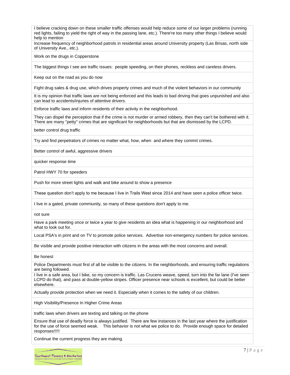I believe cracking down on these smaller traffic offenses would help reduce some of our larger problems (running red lights, failing to yield the right of way in the passing lane, etc.). There're too many other things I believe would help to mention

Increase frequency of neighborhood patrols in residential areas around University property (Las Brisas, north side of University Ave., etc.).

Work on the drugs in Copperstone

The biggest things I see are traffic issues: people speeding, on their phones, reckless and careless drivers.

Keep out on the road as you do now

Fight drug sales & drug use, which drives property crimes and much of the violent behaviors in our community

It is my opinion that traffic laws are not being enforced and this leads to bad driving that goes unpunished and also can lead to accidents/injuries of attentive drivers.

Enforce traffic laws and inform residents of their activity in the neighborhood.

They can dispel the perception that if the crime is not murder or armed robbery, then they can't be bothered with it. There are many "petty" crimes that are significant for neighborhoods but that are dismissed by the LCPD.

better control drug traffic

Try and find perpetrators of crimes no matter what, how, when and where they commit crimes.

Better control of awful, aggressive drivers

quicker response time

Patrol HWY 70 for speeders

Push for more street lights and walk and bike around to show a presence

These question don't apply to me because I live in Trails West since 2014 and have seen a police officer twice.

I live in a gated, private commiunity, so many of these questions don't apply to me.

not sure

Have a park meeting once or twice a year to give residents an idea what is happening in our neighborhood and what to look out for.

Local PSA's in print and on TV to promote police services. Advertise non-emergency numbers for police services.

Be visible and provide positive interaction with citizens in the areas with the most concerns and overall.

Be honest

Police Departments must first of all be visible to the citizens. In the neighborhoods, and ensuring traffic regulations are being followed.

I live in a safe area, but I bike, so my concern is traffic. Las Crucens weave, speed, turn into the far lane (I've seen LCPD do that), and pass at double-yellow stripes. Officer presence near schools is excellent, but could be better elsewhere.

Actually provide protection when we need it. Especially when it comes to the safety of our children.

High Visibility/Presence In Higher Crime Areas

traffic laws when drivers are texting and talking on the phone

Ensure that use of deadly force is always justified. There are few instances in the last year where the justification for the use of force seemed weak. This behavior is not what we police to do. Provide enough space for detailed responses!!!!!

Continue the current progress they are making.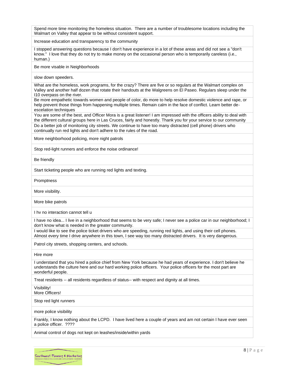Spend more time monitoring the homeless situation. There are a number of troublesome locations including the Walmart on Valley that appear to be without consistent support.

Increase education and transparency to the community

I stopped answering questions because I don't have experience in a lot of these areas and did not see a "don't know." I love that they do not try to make money on the occasional person who is temporarily careless (i.e., human.)

Be more visable in Neighborhoods

slow down speeders.

What are the homeless, work programs, for the crazy? There are five or so regulars at the Walmart complex on Valley and another half dozen that rotate their handouts at the Walgreens on El Paseo. Regulars sleep under the I10 overpass on the river.

Be more empathetic towards women and people of color, do more to help resolve domestic violence and rape, or help prevent those things from happening multiple times. Remain calm in the face of conflict. Learn better deescelation techniques

You are some of the best, and Officer Mora is a great listener! I am impressed with the officers ability to deal with the different cultural groups here in Las Cruces, fairly and honestly. Thank you for your service to our community Do a better job of monitoring city streets. We continue to have too many distracted (cell phone) drivers who continually run red lights and don't adhere to the rules of the road.

More neighborhood policing, more night patrols

Stop red-light runners and enforce the noise ordinance!

Be friendly

Start ticketing people who are running red lights and texting.

Promptness

More visibility.

More bike patrols

I hv no interaction cannot tell u

I have no idea... I live in a neighborhood that seems to be very safe; I never see a police car in our neighborhood; I don't know what is needed in the greater community.

I would like to see the police ticket drivers who are speeding, running red lights, and using their cell phones. Almost every time I drive anywhere in this town, I see way too many distracted drivers. It is very dangerous.

Patrol city streets, shopping centers, and schools.

Hire more

I understand that you hired a police chief from New York because he had years of experience. I don't believe he understands the culture here and our hard working police officers. Your police officers for the most part are wonderful people.

Treat residents -- all residents regardless of status-- with respect and dignity at all times.

Visibility!

More Officers!

Stop red light runners

more police visibility

Frankly, I know nothing about the LCPD. I have lived here a couple of years and am not certain I have ever seen a police officer. ????

Animal control of dogs not kept on leashes/inside/within yards

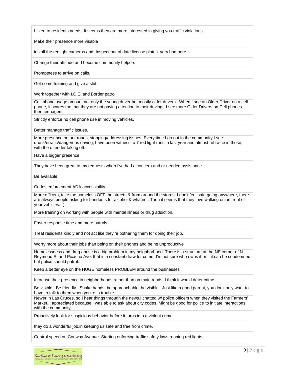Listen to residents needs. It seems they are more interested in giving you traffic violations.

Make their presence more visable

install the red ight cameras and .Inspect out of date license plates very bad here.

Change their attitude and become community helpers

Promptness to arrive on calls.

Get some training and give a shit

Work together with I.C.E. and Border patrol

Cell phone usage amount not only the young driver but mostly older drivers. When I see an Older Driver on a cell phone, it scares me that they are not paying attention to their driving. I see more Older Drivers on Cell phones then teenagers.

Strictly enforce no cell phone use in moving vehicles.

Better manage traffic issues.

More presence on our roads, stopping/addressing issues. Every time I go out in the community I see drunk/erratic/dangerous driving, have been witness to 7 red light runs in last year and almost hit twice in those, with the offender taking off.

Have a bigger presence

They have been great to my requests when I've had a concern and or needed assistance.

Be available

Codes enforcement ADA accessibility

More officers, take the homeless OFF the streets & from around the stores. I don't feel safe going anywhere, there are always people asking for handouts for alcohol & whatnot. Then it seems that they love walking out in front of your vehicles. :(

More training on working with people with mental illness or drug addiction.

Faster response time and more.patrols

Treat residents kindly and not act like they're bothering them for doing their job.

Worry more about their jobs than being on their phones and being unproductive

Homelessness and drug abuse is a big problem in my neighborhood. There is a structure at the NE corner of N. Reymond St and Picacho Ave. that is a constant draw for crime. I'm not sure who owns it or if it can be condemned but police should patrol.

Keep a better eye on the HUGE homeless PROBLEM around the businesses

Increase their presence in neighborhoods rather than on main roads, I think it would deter crime.

Be visible. Be friendly. Shake hands, be approachable, be visible. Just like a good parent, you don't only want to have to talk to them when you're in trouble...

Newer in Las Cruces, so I hear things through the news.I chatted w/ police officers when they visited the Farmers' Market. I appreciated because I was able to ask about city codes. Might be good for police to initiate interactions with the community.

Proactively look for suspicious behavior before it turns into a violent crime.

they do a wonderful job.in keeping us safe and free from crime.

Control speed on Conway Avenue. Starting enforcing traffic safety laws,running red lights.

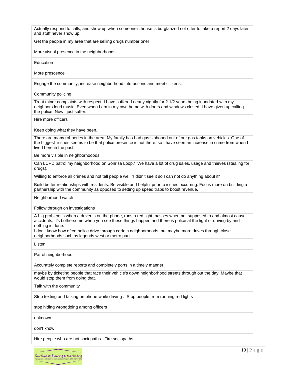Actually respond to calls, and show up when someone's house is burglarized not offer to take a report 2 days later and stuff never show up.

Get the people in my area that are selling drugs number one!

More visual presence in the neighborhoods.

Education

More prescence

Engage the community, increase neighborhood interactions and meet citizens.

Community policing

Treat minor complaints with respect. I have suffered nearly nightly for 2 1/2 years being inundated with my neighbors loud music. Even when I am in my own home with doors and windows closed. I have given up calling the police. Now I just suffer.

Hire more officers

Keep doing what they have been.

There are many robberies in the area. My family has had gas siphoned out of our gas tanks on vehicles. One of the biggest issues seems to be that police presence is not there, so I have seen an increase in crime from when I lived here in the past.

Be more visible in neighborhooods

Can LCPD patrol my neighborhood on Sonrisa Loop? We have a lot of drug sales, usage and thieves (stealing for drugs).

Willing to enforce all crimes and not tell people well "I didn't see it so I can not do anything about it"

Build better relationships with residents. Be visible and helpful prior to issues occurring. Focus more on building a partnership with the community as opposed to setting up speed traps to boost revenue.

Neighborhood watch

Follow through on investigations

A big problem is when a driver is on the phone, runs a red light, passes when not supposed to and almost cause accidents. It's bothersome when you see these things happen and there is police at the light or driving by and nothing is done.

I don't know how often police drive through certain neighborhoods, but maybe more drives through close neighborhoods such as legends west or metro park

Listen

Patrol neighborhood

Accurately complete reports and completely ports in a timely manner.

maybe by ticketing people that race their vehicle's down neighborhood streets through out the day. Maybe that would stop them from doing that.

Talk with the community

Stop texting and talking on phone while driving . Stop people from running red lights

stop hiding wrongdoing among officers

unknown

don't know

Hire people who are not sociopaths. Fire sociopaths.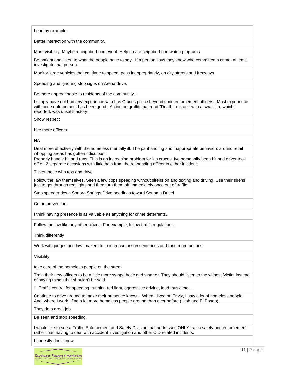Lead by example.

Better interaction with the community.

More visibility. Maybe a neighborhood event. Help create neighborhood watch programs

Be patient and listen to what the people have to say. If a person says they know who committed a crime, at least investigate that person.

Monitor large vehicles that continue to speed, pass inappropriately, on city streets and freeways.

Speeding and ignoring stop signs on Arena drive.

Be more approachable to residents of the community. I

I simply have not had any experience with Las Cruces police beyond code enforcement officers. Most experience with code enforcement has been good: Action on graffiti that read "Death to Israel" with a swastika, which I reported, was unsatisfactory.

Show respect

hire more officers

NA

Deal more effectively with the homeless mentally ill. The panhandling and inappropriate behaviors around retail whopping areas has gotten ridiculous!!

Properly handle hit and runs. This is an increasing problem for las cruces. Ive personally been hit and driver took off on 2 separate occasions with little help from the responding officer in either incident.

Ticket those who text and drive

Follow the law themselves. Seen a few cops speeding without sirens on and texting and driving. Use their sirens just to get through red lights and then turn them off immediately once out of traffic.

Stop speeder down Sonora Springs Drive headings toward Sonoma Drivel

Crime prevention

I think having presence is as valuable as anything for crime deterrents.

Follow the law like any other citizen. For example, follow traffic regulations.

Think differently

Work with judges and law makers to to increase prison sentences and fund more prisons

Visibility

take care of the homeless people on the street

Train their new officers to be a little more sympathetic and smarter. They should listen to the witness/victim instead of saying things that shouldn't be said.

1. Traffic control for speeding, running red light, aggressive driving, loud music etc.....

Continue to drive around to make their presence known. When I lived on Triviz, I saw a lot of homeless people. And, where I work I find a lot more homeless people around than ever before (Utah and El Paseo).

They do a great job.

Be seen and stop speeding.

I would like to see a Traffic Enforcement and Safety Division that addresses ONLY traffic safety and enforcement, rather than having to deal with accident investigation and other CID related incidents.

I honestly don't know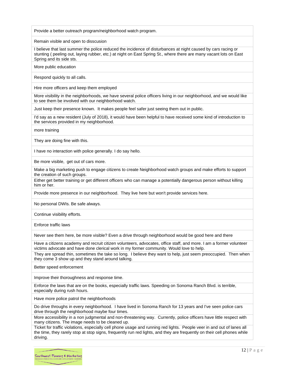Provide a better outreach program/neighborhood watch program.

Remain visible and open to disscusion

I believe that last summer the police reduced the incidence of disturbances at night caused by cars racing or stunting ( peeling out, laying rubber, etc.) at night on East Spring St., where there are many vacant lots on East Spring and its side sts.

More public education

Respond quickly to all calls.

Hire more officers and keep them employed

More visibility in the neighborhoods, we have several police officers living in our neighborhood, and we would like to see them be involved with our neighborhood watch.

Just keep their presence known. It makes people feel safer just seeing them out in public.

I'd say as a new resident (July of 2018), it would have been helpful to have received some kind of introduction to the services provided in my neighborhood.

more training

They are doing fine with this.

I have no interaction with police generally. I do say hello.

Be more visible, get out of cars more.

Make a big marketing push to engage citizens to create Neighborhood watch groups and make efforts to support the creation of such groups.

Either get better training or get different officers who can manage a potentially dangerous person without killing him or her.

Provide more presence in our neighborhood. They live here but won't provide services here.

No personal DWIs. Be safe always.

Continue visibility efforts.

Enforce traffic laws

Never see them here, be more visible? Even a drive through neighborhood would be good here and there

Have a citizens academy and recruit citizen volunteers, advocates, office staff, and more. I am a former volunteer victims advocate and have done clerical work in my former community. Would love to help.

They are spread thin, sometimes the take so long. I believe they want to help, just seem preoccupied. Then when they come 3 show up and they stand around talking.

Better speed enforcement

Improve their thoroughness and response time.

Enforce the laws that are on the books, especially traffic laws. Speeding on Sonoma Ranch Blvd. is terrible, especially during rush hours.

Have more police patrol the neighborhoods

Do drive throughs in every neighborhood. I have lived in Sonoma Ranch for 13 years and I've seen police cars drive through the neighborhood maybe four times.

More accessibility in a non judgmental and non-threatening way. Currently, police officers have little respect with many citizens. The image needs to be cleaned up.

Ticket for traffic violations, especially cell phone usage and running red lights. People veer in and out of lanes all the time, they rarely stop at stop signs, frequently run red lights, and they are frequently on their cell phones while driving.

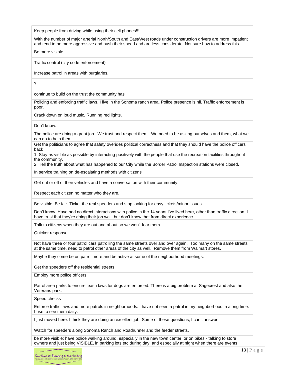Keep people from driving while using their cell phones!!!

With the number of major arterial North/South and East/West roads under construction drivers are more impatient and tend to be more aggressive and push their speed and are less considerate. Not sure how to address this.

Be more visible

Traffic control (city code enforcement)

Increase patrol in areas with burglaries.

?

continue to build on the trust the community has

Policing and enforcing traffic laws. I live in the Sonoma ranch area. Police presence is nil. Traffic enforcement is poor.

Crack down on loud music, Running red lights.

Don't know.

The police are doing a great job. We trust and respect them. We need to be asking ourselves and them, what we can do to help them.

Get the politicians to agree that safety overides political correctness and that they should have the police officers back

1. Stay as visible as possible by interacting positively with the people that use the recreation facilities throughout the community.

2. Tell the truth about what has happened to our City while the Border Patrol Inspection stations were closed.

In service training on de-escalating methods with citizens

Get out or off of their vehicles and have a conversation with their community.

Respect each citizen no matter who they are.

Be visible. Be fair. Ticket the real speeders and stop looking for easy tickets/minor issues.

Don't know. Have had no direct interactions with police in the 14 years I've lived here, other than traffic direction. I have trust that they're doing their job well, but don't know that from direct experience.

Talk to citizens when they are out and about so we won't fear them

Quicker response

Not have three or four patrol cars patrolling the same streets over and over again. Too many on the same streets at the same time, need to patrol other areas of the city as well. Remove them from Walmart stores.

Maybe they come be on patrol more.and be active at some of the neighborhood meetings.

Get the speeders off the residential streets

Employ more police officers

Patrol area parks to ensure leash laws for dogs are enforced. There is a big problem at Sagecrest and also the Veterans park.

Speed checks

Enforce traffic laws and more patrols in neighborhoods. I have not seen a patrol in my neighborhood in along time. I use to see them daily.

I just moved here. I think they are doing an excellent job. Some of these questions, I can't answer.

Watch for speeders along Sonoma Ranch and Roadrunner and the feeder streets.

be more visible; have police walking around, especially in the new town center; or on bikes - talking to store owners and just being VISIBLE, in parking lots etc during day, and especially at night when there are events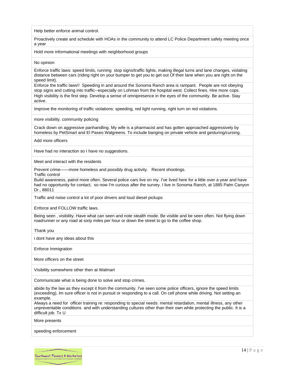Help better enforce animal control.

Proactively create and schedule with HOAs in the community to attend LC Police Department safety meeting once a year

Hold more informational meetings with neighborhood groups

#### No opinion

Enforce traffic laws: speed limits, running stop signs/traffic lights, making illegal turns and lane changes, violating distance between cars (riding right on your bumper to get you to get out Of their lane when you are right on the speed limit).

Enforce the traffic laws!! Speeding in and around the Sonoma Ranch area is rampant. People are not obeying stop signs and cutting into traffic--especially on Lohman from the hospital west. Collect fines. Hire more cops. High visibility is the first step. Develop a sense of omnipresence in the eyes of the community. Be active. Stay active.

Improve the monitoring of traffic violations: speeding, red light running, right turn on red violations.

more visibility. community policing

Crack down on aggressive panhandling. My wife is a pharmacist and has gotten approached aggressively by homeless by PetSmart and El Paseo Walgreens. To include banging on private vehicle and gesturing/cursing.

Add more officers

Have had no interaction so I have no suggestions.

Meet and interact with the residents

Prevent crime——more homeless and possibly drug activity. Recent shootings.

Traffic control

Build awareness, patrol more often. Several police cars live on my. I've lived here for a little over a year and have had no opportunity for contact, so now I'm curious after the survey. I live in Sonoma Ranch, at 1885 Palm Canyon Dr., 88011

Traffic and noise control a lot of poor drivers and loud diesel pickups

Enforce and FOLLOW traffic laws.

Being seen , visibility. Have what can seen and note stealth mode. Be visible and be seen often. Not flying down roadrunner or any road at sixty miles per hour or down the street to go to the coffee shop.

Thank you

i dont have any ideas about this

Enforce Immigration

More officers on the street

Visibility somewhere other then at Walmart

Communicate what is being done to solve and stop crimes.

abide by the law as they except it from the community. I've seen some police officers, ignore the speed limits (exceeding), Im sure officer is not in pursuit or responding to a call. On cell phone while driving. Not setting an example.

Always a need for officer training re: responding to special needs: mental retardation, mental illness, any other unpreventable conditions and with understanding cultures other than their own while protecting the public. It is a difficult job. Tx U

More presents

speeding enforcement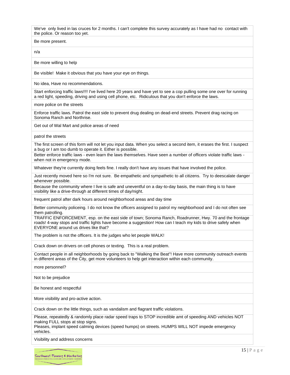We've only lived in las cruces for 2 months. I can't complete this survey accurately as I have had no contact with the police. Or reason too yet.

Be more present.

n/a

Be more willing to help

Be visible! Make it obvious that you have your eye on things.

No idea, Have no recommendations.

Start enforcing traffic laws!!!! I've lived here 20 years and have yet to see a cop pulling some one over for running a red light, speeding, driving and using cell phone, etc. Ridiculous that you don't enforce the laws.

more police on the streets

Enforce traffic laws. Patrol the east side to prevent drug dealing on dead-end streets. Prevent drag racing on Sonoma Ranch and Northrise.

Get out of Wal Mart and police areas of need

patrol the streets

The first screen of this form will not let you input data. When you select a second item, it erases the first. I suspect a bug or I am too dumb to operate it. Either is possible.

Better enforce traffic laws - even learn the laws themselves. Have seen a number of officers violate traffic laws when not in emergency mode.

Whatever they're currently doing feels fine. I really don't have any issues that have involved the police.

Just recently moved here so I'm not sure. Be empathetic and sympathetic to all citizens. Try to deescalate danger whenever possible.

Because the community where I live is safe and uneventful on a day-to-day basis, the main thing is to have visibility like a drive-through at different times of day/night.

frequent patrol after dark hours around neighborhood areas and day time

Better community policeing. I do not know the officers assigned to patrol my neighborhood and I do not often see them patrolling.

TRAFFIC ENFORCEMENT, esp. on the east side of town; Sonoma Ranch, Roadrunner, Hwy. 70 and the frontage roads! 4-way stops and traffic lights have become a suggestion! How can I teach my kids to drive safely when EVERYONE around us drives like that?

The problem is not the officers. It is the judges who let people WALK!

Crack down on drivers on cell phones or texting. This is a real problem.

Contact people in all neighborhoods by going back to "Walking the Beat"! Have more community outreach events in different areas of the City, get more volunteers to help get interaction within each community.

more personnel?

Not to be prejudice

Be honest and respectful

More visibility and pro-active action.

Crack down on the little things, such as vandalism and flagrant traffic violations.

Please, repeatedly & randomly place radar speed traps to STOP incredible amt of speeding AND vehicles NOT making FULL stops at stop signs.

Pleases, implant speed calming devices (speed humps) on streets. HUMPS WILL NOT impede emergency vehicles.

Visibility and address concerns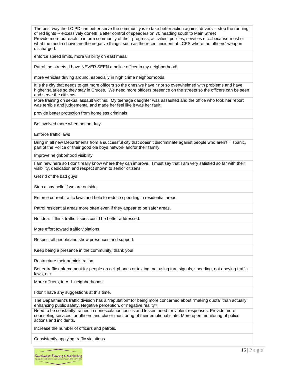The best way the LC PD can better serve the community is to take better action against drivers -- stop the running of red lights -- excessively done!!!. Better control of speeders on 70 heading south to Main Street

Provide more outreach to inform community of their progress, activities, policies, services etc...because most of what the media shows are the negative things, such as the recent incident at LCPS where the officers' weapon discharged.

enforce speed limits, more visibility on east mesa

Patrol the streets. I have NEVER SEEN a police officer in my neighborhood!

more vehicles driving around. especially in high crime neighborhoods.

It is the city that needs to get more officers so the ones we have r not so overwhelmed with problems and have higher salaries so they stay in Cruces. We need more officers presence on the streets so the officers can be seen and serve the citizens.

More training on sexual assault victims. My teenage daughter was assaulted and the office who took her report was terrible and judgemental and made her feel like it was her fault.

provide better protection from homeless criminals

Be involved more when not on duty

Enforce traffic laws

Bring in all new Departments from a successful city that doesn't discriminate against people who aren't Hispanic, part of the Police or their good ole boys network and/or their family

Improve neighborhood visibility

I am new here so I don't really know where they can improve. I must say that I am very satisfied so far with their visibility, dedication and respect shown to senior citizens.

Get rid of the bad guys

Stop a say hello if we are outside.

Enforce current traffic laws and help to reduce speeding in residential areas

Patrol residential areas more often even if they appear to be safer areas.

No idea. I think traffic issues could be better addressed.

More effort toward traffic violations

Respect all people and show presences and support.

Keep being a presence in the community, thank you!

Restructure their administration

Better traffic enforcement for people on cell phones or texting, not using turn signals, speeding, not obeying traffic laws, etc.

More officers, in ALL neighborhoods

I don't have any suggestions at this time.

The Department's traffic division has a \*reputation\* for being more concerned about "making quota" than actually enhancing public safety. Negative perception, or negative reality?

Need to be constantly trained in nonescalation tactics and lessen need for violent responses. Provide more counseling services for officers and closer monitoring of their emotional state. More open monitoring of police actions and incidents.

Increase the number of officers and patrols.

Consistently applying traffic violations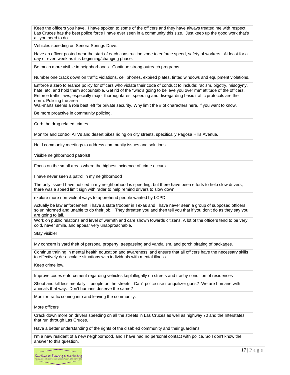Keep the officers you have. I have spoken to some of the officers and they have always treated me with respect. Las Cruces has the best police force I have ever seen in a community this size. Just keep up the good work that's all you need to do.

Vehicles speeding on Senora Springs Drive.

Have an officer posted near the start of each construction zone to enforce speed, safety of workers. At least for a day or even week as it is beginning/changing phase.

Be much more visible in neighborhoods. Continue strong outreach programs.

Number one crack down on traffic violations, cell phones, expired plates, tinted windows and equipment violations.

Enforce a zero tolerance policy for officers who violate their code of conduct to include: racism, bigotry, misogyny, hate, etc. and hold them accountable. Get rid of the "who's going to believe you over me" attitude of the officers. Enforce traffic laws, especially major thoroughfares, speeding and disregarding basic traffic protocols are the norm. Policing the area

Wal-marts seems a role best left for private security. Why limit the # of characters here, if you want to know.

Be more proactive in community policing.

Curb the drug related crimes.

Monitor and control ATVs and desert bikes riding on city streets, specifically Pagosa Hills Avenue.

Hold community meetings to address community issues and solutions.

Visible neighborhood patrols!!

Focus on the small areas where the highest incidence of crime occurs

I have never seen a patrol in my neighborhood

The only issue I have noticed in my neighborhood is speeding, but there have been efforts to help slow drivers, there was a speed limit sign with radar to help remind drivers to slow down

explore more non-violent ways to apprehend people wanted by LCPD

Actually be law enforcement, i have a state trooper in Texas and I have never seen a group of supposed officers so uninformed and unable to do their job. They threaten you and then tell you that if you don't do as they say you are going to jail.

Work on public relations and level of warmth and care shown towards citizens. A lot of the officers tend to be very cold, never smile, and appear very unapproachable.

Stay visible!

My concern is yard theft of personal property, trespassing and vandalism, and porch pirating of packages.

Continue training in mental health education and awareness, and ensure that all officers have the necessary skills to effectively de-escalate situations with individuals with mental illness.

Keep crime low.

Improve codes enforcement regarding vehicles kept illegally on streets and trashy condition of residences

Shoot and kill less mentally ill people on the streets. Can't police use tranquilizer guns? We are humane with animals that way. Don't humans deserve the same?

Monitor traffic coming into and leaving the community.

More officers

Crack down more on drivers speeding on all the streets in Las Cruces as well as highway 70 and the Interstates that run through Las Cruces.

Have a better understanding of the rights of the disabled community and their guardians

I'm a new resident of a new neighborhood, and I have had no personal contact with police. So I don't know the answer to this question.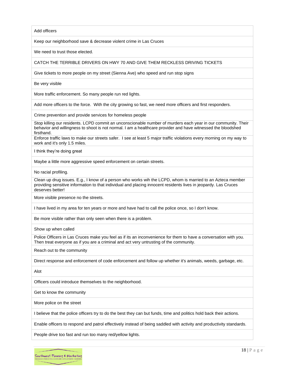Add officers

Keep our neighborhood save & decrease violent crime in Las Cruces

We need to trust those elected.

#### CATCH THE TERRIBLE DRIVERS ON HWY 70 AND GIVE THEM RECKLESS DRIVING TICKETS

Give tickets to more people on my street (Sienna Ave) who speed and run stop signs

Be very visible

More traffic enforcement. So many people run red lights.

Add more officers to the force. With the city growing so fast, we need more officers and first responders.

Crime prevention and provide services for homeless people

Stop killing our residents. LCPD commit an unconscionable number of murders each year in our community. Their behavior and willingness to shoot is not normal. I am a healthcare provider and have witnessed the bloodshed firsthand.

Enforce traffic laws to make our streets safer. I see at least 5 major traffic violations every morning on my way to work and it's only 1.5 miles.

I think they're doing great

Maybe a little more aggressive speed enforcement on certain streets.

No racial profiling.

Clean up drug issues. E.g., I know of a person who works wih the LCPD, whom is married to an Azteca member providing sensitive information to that individual and placing innocent residents lives in jeopardy. Las Cruces deserves better!

More visible presence no the streets.

I have lived in my area for ten years or more and have had to call the police once, so I don't know.

Be more visible rather than only seen when there is a problem.

Show up when called

Police Officers in Las Cruces make you feel as if its an inconvenience for them to have a conversation with you. Then treat everyone as if you are a criminal and act very untrusting of the community.

Reach out to the community

Direct response and enforcement of code enforcement and follow up whether it's animals, weeds, garbage, etc.

Alot

Officers could introduce themselves to the neighborhood.

Get to know the community

More police on the street

I believe that the police officers try to do the best they can but funds, time and politics hold back their actions.

Enable officers to respond and patrol effectively instead of being saddled with activity and productivity standards.

People drive too fast and run too many red/yellow lights.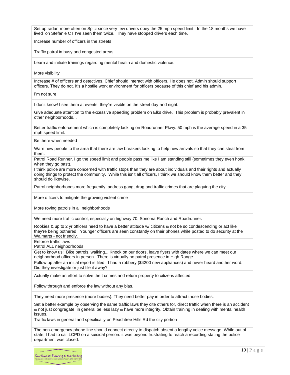Set up radar more often on Spitz since very few drivers obey the 25 mph speed limit. In the 18 months we have lived on Stefanie CT I've seen them twice. They have stopped drivers each time.

Increase number of officers in the streets

Traffic patrol in busy and congested areas.

Learn and initiate trainings regarding mental health and domestic violence.

More visibility

Increase # of officers and detectives. Chief should interact with officers. He does not. Admin should support officers. They do not. It's a hostile work environment for officers because of this chief and his admin.

I'm not sure.

I don't know! I see them at events, they're visible on the street day and night.

Give adequate attention to the excessive speeding problem on Elks drive. This problem is probably prevalent in other neighborhoods. .

Better traffic enforcement which is completely lacking on Roadrunner Pkwy. 50 mph is the average speed in a 35 mph speed limit.

Be there when needed

Warn new people to the area that there are law breakers looking to help new arrivals so that they can steal from them.

Patrol Road Runner. I go the speed limit and people pass me like I am standing still (sometimes they even honk when they go past).

I think police are more concerned with traffic stops than they are about individuals and their rights and actually doing things to protect the community. While this isn't all officers, I think we should know them better and they should do likewise.

Patrol neighborhoods more frequently, address gang, drug and traffic crimes that are plaguing the city

More officers to mitigate the growing violent crime

More roving patrols in all neighborhoods

We need more traffic control, especially on highway 70, Sonoma Ranch and Roadrunner.

Rookies & up to 2 yr officers need to have a better attitude w/ citizens & not be so condescending or act like they're being bothered. Younger officers are seen constantly on their phones while posted to do security at the Walmarts - not friendly.

Enforce traffic laws

Patrol ALL neighborhoods

Get to know us! Bike patrols, walking... Knock on our doors, leave flyers with dates where we can meet our neighborhood officers in person. There is virtually no patrol presence in High Range.

Follow up after an initial report is filed. I had a robbery (\$4200 new appliances) and never heard another word. Did they investigate or just file it away?

Actually make an effort to solve theft crimes and return property to citizens affected.

Follow through and enforce the law without any bias.

They need more presence (more bodies). They need better pay in order to attract those bodies.

Set a better example by observing the same traffic laws they cite others for, direct traffic when there is an accident & not just congregate, in general be less lazy & have more integrity. Obtain training in dealing with mental health issues.

Traffic laws in general and specifically on Peachtree Hills Rd the city portion

The non-emergency phone line should connect directly to dispatch absent a lengthy voice message. While out of state, I had to call LCPD on a suicidal person. it was beyond frustrating to reach a recording stating the police department was closed.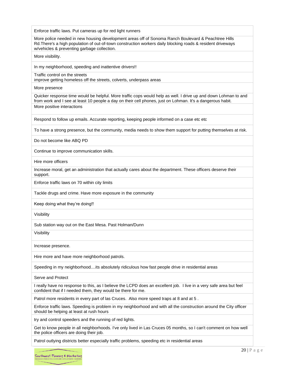Enforce traffic laws. Put cameras up for red light runners More police needed in new housing development areas off of Sonoma Ranch Boulevard & Peachtree Hills Rd.There's a high population of out-of-town construction workers daily blocking roads & resident driveways w/vehicles & preventing garbage collection. More visibility. In my neighborhood, speeding and inattentive drivers!! Traffic control on the streets improve getting homeless off the streets, colverts, underpass areas More presence Quicker response time would be helpful. More traffic cops would help as well. I drive up and down Lohman to and from work and I see at least 10 people a day on their cell phones, just on Lohman. It's a dangerous habit. More positive interactions Respond to follow up emails. Accurate reporting, keeping people informed on a case etc etc To have a strong presence, but the community, media needs to show them support for putting themselves at risk. Do not become like ABQ PD Continue to improve communication skills. Hire more officers Increase moral, get an administration that actually cares about the department. These officers deserve their support. Enforce traffic laws on 70 within city limits Tackle drugs and crime. Have more exposure in the community Keep doing what they're doing!! Visibility Sub station way out on the East Mesa. Past Holman/Dunn Visibility Increase presence. Hire more and have more neighborhood patrols. Speeding in my neighborhood....its absolutely ridiculous how fast people drive in residential areas Serve and Protect I really have no response to this, as I believe the LCPD does an excellent job. I live in a very safe area but feel confident that if I needed them, they would be there for me. Patrol more residents in every part of las Cruces. Also more speed traps at 8 and at 5 . Enforce traffic laws. Speeding is problem in my neighborhood and with all the construction around the City officer should be helping at least at rush hours try and control speeders and the running of red lights.

Get to know people in all neighborhoods. I've only lived in Las Cruces 05 months, so I can't comment on how well the police officers are doing their job.

Patrol outlying districts better especially traffic problems, speeding etc in residential areas

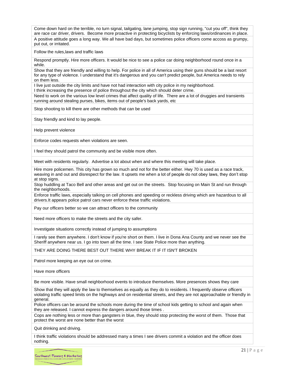Come down hard on the terrible, no turn signal, tailgating, lane jumping, stop sign running, "cut you off", think they are race car driver, drivers. Become more proactive in protecting bicyclists by enforcing laws/ordinances in place. A positive attitude goes a long way. We all have bad days, but sometimes police officers come accoss as grumpy, put out, or irritated.

Follow the rules,laws and traffic laws

Respond promptly. Hire more officers. It would be nice to see a police car doing neighborhood round once in a while.

Show that they are friendly and willing to help. For police in all of America using their guns should be a last resort for any type of violence. I understand that it's dangerous and you can't predict people, but America needs to rely on them less.

I live just outside the city limits and have not had interaction with city police in my neighborhood.

I think increasing the presence of police throughout the city which should deter crime.

Need to work on the various low level crimes that affect quality of life. There are a lot of druggies and transients running around stealing purses, bikes, items out of people's back yards, etc

Stop shooting to kill there are other methods that can be used

Stay friendly and kind to lay people.

Help prevent violence

Enforce codes requests when violations are seen.

I feel they should patrol the community and be visible more often.

Meet with residents regularly. Advertise a lot about when and where this meeting will take place.

Hire more policemen. This city has grown so much and not for the better either. Hwy 70 is used as a race track, weaving in and out and disrespect for the law. It upsets me when a lot of people do not obey laws, they don't stop at stop signs.

Stop huddling at Taco Bell and other areas and get out on the streets. Stop focusing on Main St and run through the neighborhoods.

Enforce traffic laws, especially talking on cell phones and speeding or reckless driving which are hazardous to all drivers.It appears police patrol cars never enforce these traffic violations.

Pay our officers better so we can attract officers to the community

Need more officers to make the streets and the city safer.

Investigate situations correctly instead of jumping to assumptions

I rarely see them anywhere. I don't know if you're short on them. I live in Dona Ana County and we never see the Sheriff anywhere near us. I go into town all the time. I see State Police more than anything.

THEY ARE DOING THERE BEST OUT THERE WHY BREAK IT IF IT ISN'T BROKEN

Patrol more keeping an eye out on crime.

Have more officers

Be more visible. Have small neighborhood events to introduce themselves. More presences shows they care

Show that they will apply the law to themselves as equally as they do to residents. I frequently observe officers violating traffic speed limits on the highways and on residential streets, and they are not approachable or friendly in general.

Police officers can be around the schools more during the time of school kids getting to school and again when they are released. I cannot express the dangers around those times .

Cops are nothing less or more than gangsters in blue, they should stop protecting the worst of them. Those that protect the worst are none better than the worst

Quit drinking and driving.

I think traffic violations should be addressed many a times I see drivers commit a violation and the officer does nothing.

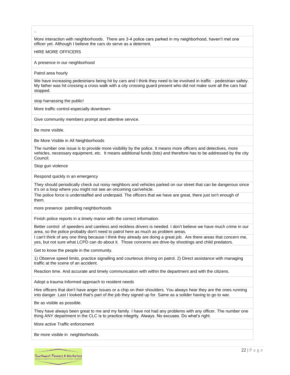More interaction with neighborhoods. There are 3-4 police cars parked in my neighborhood, haven't met one officer yet. Although I believe the cars do serve as a deterrent.

#### HIRE MORE OFFICERS

A presence in our neighborhood

Patrol area hourly

..

We have increasing pedestrians being hit by cars and I think they need to be involved in traffic - pedestrian safety. My father was hit crossing a cross walk with a city crossing guard present who did not make sure all the cars had stopped.

stop harrassing the public!

More traffic control-especially downtown-

Give community members prompt and attentive service.

Be more visible.

Be More Visible in All Neighborhoods

The number one issue is to provide more visibility by the police. It means more officers and detectives, more vehicles, necessary equipment, etc. It means additional funds (lots) and therefore has to be addressed by the city Council.

Stop gun violence

Respond quickly in an emergency

They should periodically check out noisy neighbors and vehicles parked on our street that can be dangerous since it's on a loop where you might not see an oncoming car/vehicle.

The police force is understaffed and underpaid. The officers that we have are great, there just isn't enough of them.

more presence patrolling neighborhoods

Finish police reports in a timely manor with the correct information.

Better control of speeders and careless and reckless drivers is needed. I don't believe we have much crime in our area, so the police probably don't need to patrol here as much as problem areas.

I can't think of any one thing because I think they already are doing a great job. Are there areas that concern me, yes, but not sure what LCPD can do about it. Those concerns are drive-by shootings and child predators.

Get to know the people in the community.

1) Observe speed limits, practice signalling and courteous driving on patrol. 2) Direct assistance with managing traffic at the scene of an accident.

Reaction time. And accurate and timely communication with within the department and with the citizens.

Adopt a trauma Informed approach to resident needs

Hire officers that don't have anger issues or a chip on their shoulders. You always hear they are the ones running into danger. Last I looked that's part of the job they signed up for. Same as a solider having to go to war.

Be as visible as possible.

They have always been great to me and my family. I have not had any problems with any officer. The number one thing ANY department in the CLC is to practice integrity. Always. No excuses. Do what's right.

More active Traffic enforcement

Be more visible in neighborhoods.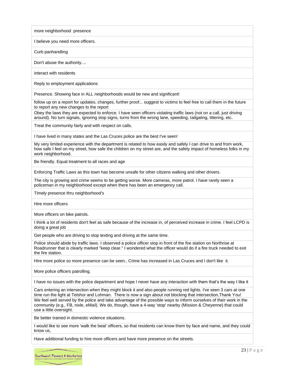more neighborhood presence

I believe you need more officers.

Curb panhandling

Don't abuse the authority....

interact with residents

Reply to employment applications

Presence. Showing face in ALL neighborhoods would be new and significant!

follow up on a report for updates, changes, further proof... suggest to victims to feel free to call them in the future to report any new changes to the report

Obey the laws they are expected to enforce. I have seen officers violating traffic laws (not on a call, just driving around). No turn signals, ignoring stop signs, turns from the wrong lane, speeding, tailgating, littering, etc.

Treat the community fairly and with respect on calls.

I have lived in many states and the Las Cruces police are the best I've seen!

My very limited experience with the department is related to how easily and safely I can drive to and from work, how safe I feel on my street, how safe the children on my street are, and the safety impact of homeless folks in my work neighborhood.

Be friendly. Equal treatment to all races and age

Enforcing Traffic Laws as this town has become unsafe for other citizens walking and other drivers.

The city is growing and crime seems to be getting worse. More cameras, more patrol. I have rarely seen a policeman in my neighborhood except when there has been an emergency call.

Timely presence thru neighborhood's

Hire more officers

More officers on bike patrols.

I think a lot of residents don't feel as safe because of the increase in, of perceived increase in crime. I feel LCPD is doing a great job

Get people who are driving to stop texting and driving at the same time.

Police should abide by traffic laws. I observed a police officer stop in front of the fire station on Northrise at Roadrunner that is clearly marked "keep clear." I wondered what the officer would do if a fire truck needed to exit the fire station.

Hire more police so more presence can be seen.. Crime has increased in Las Cruces and I don't like it.

More police officers patrolling.

I have no issues with the police department and hope I never have any interaction with them that's the way I like it

Cars entering an intersection when they might block it and also people running red lights. I've seen 3 cars at one time run the light at Telshor and Lohman. There is now a sign about not blocking that intersection,Thank You! We feel well served by the police and take advantage of the possible ways to inform ourselves of their work in the community (e.g., FB, nixle, eMail). We do, though, have a 4-way 'stop' nearby (Mission & Cheyenne) that could use a little oversight.

Be better trained in domestic violence situations.

I would like to see more 'walk the beat' officers, so that residents can know them by face and name, and they could know us,

Have additional funding to hire more officers and have more presence on the streets.

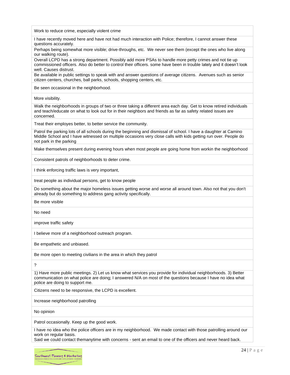| Work to reduce crime, especially violent crime                                                                                                                                                                                                                   |
|------------------------------------------------------------------------------------------------------------------------------------------------------------------------------------------------------------------------------------------------------------------|
| I have recently moved here and have not had much interaction with Police; therefore, I cannot answer these<br>questions accurately.                                                                                                                              |
| Perhaps being somewhat more visible; drive-throughs, etc. We never see them (except the ones who live along<br>our walking route).                                                                                                                               |
| Overall LCPD has a strong department. Possibly add more PSAs to handle more petty crimes and not tie up<br>commissioned officers. Also do better to control their officers. some have been in trouble lately and it doesn't look<br>well. Causes distrust.       |
| Be available in public settings to speak with and answer questions of average citizens. Avenues such as senior<br>citizen centers, churches, ball parks, schools, shopping centers, etc.                                                                         |
| Be seen occasional in the neighborhood.                                                                                                                                                                                                                          |
| More visibility.                                                                                                                                                                                                                                                 |
| Walk the neighborhoods in groups of two or three taking a different area each day. Get to know retired individuals<br>and teach/educate on what to look out for in their neighbors and friends as far as safety related issues are<br>concerned.                 |
| Treat their employes better, to better service the community.                                                                                                                                                                                                    |
| Patrol the parking lots of all schools during the beginning and dismissal of school. I have a daughter at Camino<br>Middle School and I have witnessed on multiple occasions very close calls with kids getting run over. People do<br>not park in the parking   |
| Make themselves present during evening hours when most people are going home from workin the neighborhood                                                                                                                                                        |
| Consistent patrols of neighborhoods to deter crime.                                                                                                                                                                                                              |
| I think enforcing traffic laws is very important,                                                                                                                                                                                                                |
| treat people as individual persons, get to know people                                                                                                                                                                                                           |
| Do something about the major homeless issues getting worse and worse all around town. Also not that you don't<br>already but do something to address gang activity specifically.                                                                                 |
| Be more visible                                                                                                                                                                                                                                                  |
| No need                                                                                                                                                                                                                                                          |
| improve traffic safety                                                                                                                                                                                                                                           |
| I believe more of a neighborhood outreach program.                                                                                                                                                                                                               |
| Be empathetic and unbiased.                                                                                                                                                                                                                                      |
| Be more open to meeting civilians in the area in which they patrol                                                                                                                                                                                               |
| ?                                                                                                                                                                                                                                                                |
| 1) Have more public meetings. 2) Let us know what services you provide for individual neighborhoods. 3) Better<br>communication on what police are doing; I answered N/A on most of the questions because I have no idea what<br>police are doing to support me. |
| Citizens need to be responsive, the LCPD is excellent.                                                                                                                                                                                                           |
| Increase neighborhood patrolling                                                                                                                                                                                                                                 |
| No opinion                                                                                                                                                                                                                                                       |

Patrol occasionally. Keep up the good work.

I have no idea who the police officers are in my neighborhood. We made contact with those patrolling around our work on regular basis.

Said we could contact themanytime with concerns - sent an email to one of the officers and never heard back.

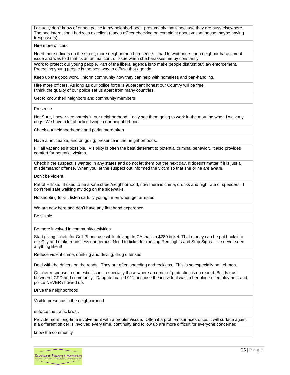i actually don't know of or see police in my neighborhood. presumably that's because they are busy elsewhere. The one interaction I had was excellent (codes officer checking on complaint about vacant house maybe having trespassers).

#### Hire more officers

Need more officers on the street, more neighborhood presence. I had to wait hours for a neighbor harassment issue and was told that its an animal control issue when she harasses me by constantly Work to protect our young people. Part of the liberal agenda is to make people distrust out law enforcement. Protecting young people is the best way to diffuse that agenda.

Keep up the good work. Inform community how they can help with homeless and pan-handling.

Hire more officers. As long as our police force is 90percent honest our Country will be free. I think the quality of our police set us apart from many countries.

Get to know their neighbors and community members

Presence

Not Sure, I never see patrols in our neighborhood, I only see them going to work in the morning when I walk my dogs. We have a lot of police living in our neighborhood.

Check out neighborhoods and parks more often

Have a noticeable, and on going, presence in the neighborhoods.

Fill all vacancies if possible. Visibility is often the best deterrent to potential criminal behavior...it also provides comfort for potential victims.

Check if the suspect is wanted in any states and do not let them out the next day. It doesn't matter if it is just a misdemeanor offense. When you let the suspect out informed the victim so that she or he are aware.

Don't be violent.

Patrol Hillrise. It used to be a safe street/neighborhood, now there is crime, drunks and high rate of speeders. I don't feel safe walking my dog on the sidewalks.

No shooting to kill, listen carfully youngh men when get arrested

We are new here and don't have any first hand experence

Be visible

Be more involved in community activities.

Start giving tickets for Cell Phone use while driving! In CA that's a \$280 ticket. That money can be put back into our City and make roads less dangerous. Need to ticket for running Red Lights and Stop Signs. I've never seen anything like it!

Reduce violent crime, drinking and driving, drug offenses

Deal with the drivers on the roads. They are often speeding and reckless. This is so especially on Lohman.

Quicker response to domestic issues, especially those where an order of protection is on record. Builds trust between LCPD and community. Daughter called 911 because the individual was in her place of employment and police NEVER showed up.

Drive the neighborhood

Visible presence in the neighborhood

enforce the traffic laws..

Provide more long-time involvement with a problem/issue. Often if a problem surfaces once, it will surface again. If a different officer is involved every time, continuity and follow up are more difficult for everyone concerned.

know the community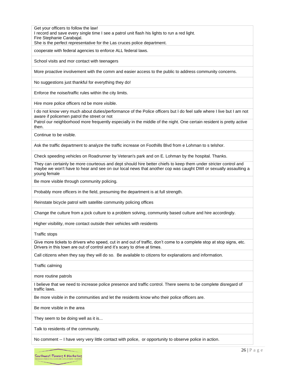Get your officers to follow the law!

I record and save every single time I see a patrol unit flash his lights to run a red light.

Fire Stephanie Carabajal.

She is the perfect representative for the Las cruces police department.

cooperate with federal agencies to enforce ALL federal laws.

School visits and mor contact with teenagers

More proactive involvement with the comm and easier access to the public to address community concerns.

No suggestions just thankful for everything they do!

Enforce the noise/traffic rules within the city limits.

Hire more police officers nd be more visible.

I do not know very much about duties/performance of the Police officers but I do feel safe where I live but I am not aware if policemen patrol the street or not

Patrol our neighborhood more frequently especially in the middle of the night. One certain resident is pretty active then.

Continue to be visible.

Ask the traffic department to analyze the traffic increase on Foothills Blvd from e Lohman to s telshor.

Check speeding vehicles on Roadrunner by Veteran's park and on E. Lohman by the hospital. Thanks.

They can certainly be more courteous and dept should hire better chiefs to keep them under stricter control and maybe we won't have to hear and see on our local news that another cop was caught DWI or sexually assaulting a young female

Be more visible through community policing.

Probably more officers in the field, presuming the department is at full strength.

Reinstate bicycle patrol with satellite community policing offices

Change the culture from a jock culture to a problem solving, community based culture and hire accordingly.

Higher visibility, more contact outside their vehicles with residents

Traffic stops

Give more tickets to drivers who speed, cut in and out of traffic, don't come to a complete stop at stop signs, etc. Drivers in this town are out of control and it's scary to drive at times.

Call citizens when they say they will do so. Be available to citizens for explanations and information.

Traffic calming

more routine patrols

I believe that we need to increase police presence and traffic control. There seems to be complete disregard of traffic laws.

Be more visible in the communities and let the residents know who their police officers are.

Be more visible in the area

They seem to be doing well as it is...

Talk to residents of the community.

No comment -- I have very very little contact with police, or opportunity to observe police in action.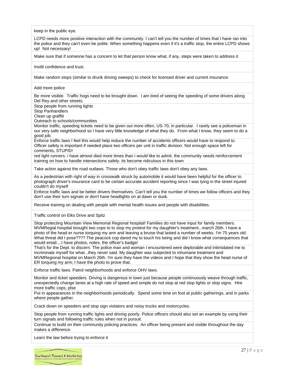keep in the public eye.

LCPD needs more positive interaction with the community. I can't tell you the number of times that I have ran into the police and they can't even be polite. When something happens even if it's a traffic stop, the entire LCPD shows up! Not necessary!

Make sure that if someone has a concern to let that person know what, if any, steps were taken to address it

Instill confidence and trust.

Make random stops (similar to drunk driving sweeps) to check for licensed driver and current insurance.

#### Add more police

Be more visible. Traffic hogs need to be brought down. I am tired of seeing the speeding of some drivers along Del Rey and other streets.

Stop people from running lights

Stop Panhandlers

Clean up graffiti

Outreach to schools/communities

Monitor traffic, speeding tickets need to be given out more often, US-70, in particular. I rarely see a policeman in our very safe neighborhood so I have very little knowledge of what they do. From what I know, they seem to do a good job.

Enforce traffic laws I feel this would help reduce the number of accidents officers would have to respond to. Officer safety is important if needed place two officers per unit in traffic division. Not enough space left for comments, STUPID!

red light runners. i have almost died more times than i would like to admit. the community needs reinforcement training on how to handle intersections safely. its become ridiculous in this town

Take action against the road outlaws. Those who don't obey traffic laws don't obey any laws.

As a pedestrian with right of way in crosswalk struck by automobile it would have been helpful for the officer to photograph driver's insurance card to be certain accurate accident reporting since I was lying in the street injured couldn't do myself

Enforce traffic laws and be better drivers themselves. Can't tell you the number of times we follow officers and they don't use their turn signals or don't have headlights on at dawn or dusk.

Receive training on dealing with people with mental health issues and people with disabilities.

Traffic control on Elks Drive and Spitz

Stop protecting Mountain View Memorial Regional hospital! Families do not have input for family members. MVMRegial hospital brought two cops to to stop my protest for my daughter's treatment...march 26th. I have a photo of the head er nurse torquing my arm and leaving a bruise that lasted a number of weeks. I'm 75 years old. What threat did I pose???? The peacock cop dared my to touch his being and did I know what consequences that would entail....I have photos, notes. the officer's badge/

That's for the Dept. to discern. The police man and woman I encountered were deplorable and intimidated me to incriminate myself for what...they never said. My daughter was subjected to inhumane treatment and MVMRegional hospital on March 26th. I'm sure they have the videos and I hope that they show the head nurse of ER torquing my arm; I have the photo to prove that.

Enforce traffic laws. Patrol neighborhoods and enforce OHV laws.

Monitor and ticket speeders. Driving is dangerous in town just because people continuously weave through traffic, unexpectedly change lanes at a high rate of speed and simple do not stop at red stop lights or stop signs. Hire more traffic cops, plse

Put in appearances in the neighborhoods periodically. Spend some time on foot at public gatherings, and in parks where people gather.

Crack down on speeders and stop sign violators and noisy trucks and motorcycles.

Stop people from running traffic lights and driving poorly. Police officers should also set an example by using their turn signals and following traffic rules when not in pursuit.

Continue to build on their community policing practices. An officer being present and visible throughout the day makes a difference.

Learn the law before trying to enforce it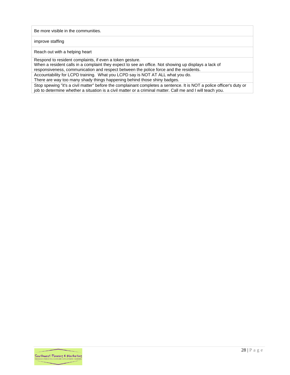#### Be more visible in the communities.

#### improve staffing

Reach out with a helping heart

Respond to resident complaints, if even a token gesture.

When a resident calls in a complaint they expect to see an office. Not showing up displays a lack of

responsiveness, communication and respect between the police force and the residents. Accountability for LCPD training. What you LCPD say is NOT AT ALL what you do.

There are way too many shady things happening behind those shiny badges.

Stop spewing "it's a civil matter" before the complainant completes a sentence. It is NOT a police officer's duty or job to determine whether a situation is a civil matter or a criminal matter. Call me and I will teach you.

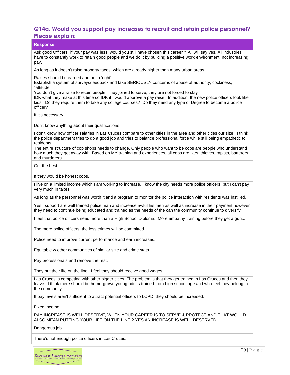## <span id="page-29-0"></span>**Q14a. Would you support pay increases to recruit and retain police personnel? Please explain:**

| <b>Please explain:</b>                                                                                                                                                                                                                                                                                                                                                                                                                                                                                 |
|--------------------------------------------------------------------------------------------------------------------------------------------------------------------------------------------------------------------------------------------------------------------------------------------------------------------------------------------------------------------------------------------------------------------------------------------------------------------------------------------------------|
| <b>Response</b>                                                                                                                                                                                                                                                                                                                                                                                                                                                                                        |
| Ask good Officers "if your pay was less, would you still have chosen this career?" All will say yes. All industries<br>have to constantly work to retain good people and we do it by building a positive work environment, not increasing<br>pay.                                                                                                                                                                                                                                                      |
| As long as it doesn't raise property taxes, which are already higher than many urban areas.                                                                                                                                                                                                                                                                                                                                                                                                            |
| Raises should be earned and not a 'right'.<br>Establish a system of surveys/feedback and take SERIOUSLY concerns of abuse of authority, cockiness,<br>"attitude'.<br>You don't give a raise to retain people. They joined to serve, they are not forced to stay<br>IDK what they make at this time so IDK if I would approve a pay raise. In addition, the new police officers look like<br>kids. Do they require them to take any college courses? Do they need any type of Degree to become a police |
| officer?<br>If it's necessary                                                                                                                                                                                                                                                                                                                                                                                                                                                                          |
| Don't know anything about their qualifications                                                                                                                                                                                                                                                                                                                                                                                                                                                         |
| I don't know how officer salaries in Las Cruces compare to other cities in the area and other cities our size. I think<br>the police department tries to do a good job and tries to balance professional force while still being empathetic to<br>residents.                                                                                                                                                                                                                                           |
| The entire structure of cop shops needs to change. Only people who want to be cops are people who understand<br>how much they get away with. Based on MY training and experiences, all cops are liars, thieves, rapists, batterers<br>and murderers.                                                                                                                                                                                                                                                   |
| Get the best.                                                                                                                                                                                                                                                                                                                                                                                                                                                                                          |
| If they would be honest cops.                                                                                                                                                                                                                                                                                                                                                                                                                                                                          |
| I live on a limited income which I am working to increase. I know the city needs more police officers, but I can't pay<br>very much in taxes.                                                                                                                                                                                                                                                                                                                                                          |
| As long as the personnel was worth it and a program to monitor the police interaction with residents was instilled.                                                                                                                                                                                                                                                                                                                                                                                    |
| Yes I support are well trained police man and increase awful his men as well as increase in their payment however<br>they need to continue being educated and trained as the needs of the can the community continue to diversify                                                                                                                                                                                                                                                                      |
| I feel that police officers need more than a High School Diploma. More empathy training before they get a gun!                                                                                                                                                                                                                                                                                                                                                                                         |
| The more police officers, the less crimes will be committed.                                                                                                                                                                                                                                                                                                                                                                                                                                           |
| Police need to improve current performance and earn increases.                                                                                                                                                                                                                                                                                                                                                                                                                                         |
| Equitable w other communities of similar size and crime stats.                                                                                                                                                                                                                                                                                                                                                                                                                                         |
| Pay professionals and remove the rest.                                                                                                                                                                                                                                                                                                                                                                                                                                                                 |
| They put their life on the line. I feel they should receive good wages.                                                                                                                                                                                                                                                                                                                                                                                                                                |
| Las Cruces is competing with other bigger cities. The problem is that they get trained in Las Cruces and then they<br>leave. I think there should be home-grown young adults trained from high school age and who feel they belong in<br>the community.                                                                                                                                                                                                                                                |
| If pay levels aren't sufficient to attract potential officers to LCPD, they should be increased.                                                                                                                                                                                                                                                                                                                                                                                                       |
| Fixed income                                                                                                                                                                                                                                                                                                                                                                                                                                                                                           |
| PAY INCREASE IS WELL DESERVE, WHEN YOUR CAREER IS TO SERVE & PROTECT AND THAT WOULD<br>ALSO MEAN PUTTING YOUR LIFE ON THE LINE!? YES AN INCREASE IS WELL DESERVED.                                                                                                                                                                                                                                                                                                                                     |
| Dangerous job                                                                                                                                                                                                                                                                                                                                                                                                                                                                                          |
| There's not enough police officers in Las Cruces.                                                                                                                                                                                                                                                                                                                                                                                                                                                      |
|                                                                                                                                                                                                                                                                                                                                                                                                                                                                                                        |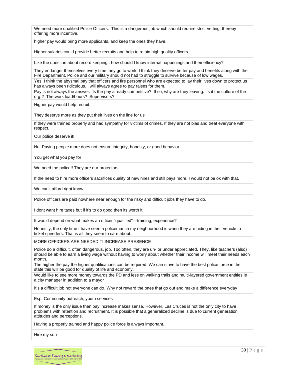We need more qualified Police Officers. This is a dangerous job which should require strict vetting, thereby offering more incentive.

higher pay would bring more applicants, and keep the ones they have.

Higher salaries could provide better recruits and help to retain high quality officers.

Like the question about record keeping.. how should I know internal happenings and their efficiency?

They endanger themselves every time they go to work. I think they deserve better pay and benefits along with the Fire Department. Police and our military should not had to struggle to survive because of low wages.

Yes, I think the abysmal pay that officers and fire personnel who are expected to lay their lives down to protect us has always been ridiculous. I will always agree to pay raises for them.

Pay is not always the answer. Is the pay already competitive? If so, why are they leaving. Is it the culture of the org.? The work load/hours? Supervisors?

Higher pay would help recruit.

They deserve more as they put their lives on the line for us

If they were trained properly and had sympathy for victims of crimes. If they are not bias and treat everyone with respect.

Our police deserve it!

No. Paying people more does not ensure integrity, honesty, or good behavior.

You get what you pay for

We need the police!! They are our protectors

If the need to hire more officers sacrifices quality of new hires and still pays more, I would not be ok with that.

We can't afford right know

Police officers are paid nowhere near enough for the risky and difficult jobs they have to do.

I dont want hire taxes but if it's to do good then its worth it.

It would depend on what makes an officer "qualified"---training, experience?

Honestly, the only time I have seen a policeman in my neighborhood is when they are hiding in their vehicle to ticket speeders. That is all they seem to care about.

MORE OFFICERS ARE NEEDED TI INCREASE PRESENCE

Police do a difficult, often dangerous, job. Too often, they are un- or under appreciated. They, like teachers (also) should be able to earn a living wage without having to worry about whether their income will meet their needs each month.

The higher the pay the higher qualifications can be required. We can strive to have the best police force in the state this will be good for quality of life and economy.

Would like to see more money towards the PD and less on walking trails and multi-layered government entities ie a city manager in addition to a mayor

It's a difficult job not everyone can do. Why not reward the ones that go out and make a difference everyday

Esp. Community outreach, youth services

If money is the only issue then pay increase makes sense. However, Las Cruces is not the only city to have problems with retention and recruitment. It is possible that a generalized decline is due to current generation attitudes and perceptions.

Having a properly trained and happy police force is always important.

Hire my son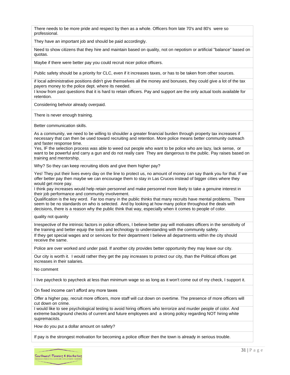There needs to be more pride and respect by then as a whole. Officers from late 70's and 80's were so professional.

They have an important job and should be paid accordingly.

Need to show citizens that they hire and maintain based on quality, not on nepotism or artificial "balance" based on quotas.

Maybe if there were better pay you could recruit nicer police officers.

Public safety should be a priority for CLC, even if it increases taxes, or has to be taken from other sources.

if local administrative positions didn't give themselves all the money and bonuses, they could give a lot of the tax payers money to the police dept. where its needed.

I know from past questions that it is hard to retain officers. Pay and support are the only actual tools available for retention.

Considering behvior already overpaid.

There is never enough training.

Better communication skills.

As a community, we need to be willing to shoulder a greater financial burden through property tax increases if necessary that can then be used toward recruiting and retention. More police means better community outreach and faster response time.

Yes, IF the selection process was able to weed out people who want to be police who are lazy, lack sense, or want to be powerful and carry a gun and do not really care They are dangerous to the public. Pay raises based on training and mentorship.

Why? So they can keep recruiting idiots and give them higher pay?

Yes! They put their lives every day on the line to protect us, no amount of money can say thank you for that. If we offer better pay then maybe we can encourage them to stay in Las Cruces instead of bigger cities where they would get more pay.

I think pay increases would help retain personnel and make personnel more likely to take a genuine interest in their job performance and community involvement.

Qualification is the key word. Far too many in the public thinks that many recruits have mental problems. There seem to be no standards on who is selected. And by looking at how many police throughout the deals with decisions, there is a reason why the public think that way, especially when it comes to people of color.

quality not quanity

Irrespective of the intrinsic factors in police officers, I believe better pay will motivates officers in the sensitivity of the training and better equip the tools and technology to understanding with the community safety.

If they get special wages and or services for their department I believe all departments within the city should receive the same.

Police are over worked and under paid. If another city provides better opportunity they may leave our city.

Our city is worth it. I would rather they get the pay increases to protect our city, than the Political offices get increases in their salaries.

No comment

I live paycheck to paycheck at less than minimum wage so as long as it won't come out of my check, I support it.

On fixed income can't afford any more taxes

Offer a higher pay, recruit more officers, more staff will cut down on overtime. The presence of more officers will cut down on crime.

I would like to see psychological testing to avoid hiring officers who terrorize and murder people of color. And extreme background checks of current and future employees and a strong policy regarding NOT hiring white supremacists.

How do you put a dollar amount on safety?

If pay is the strongest motivation for becoming a police officer then the town is already in serious trouble.

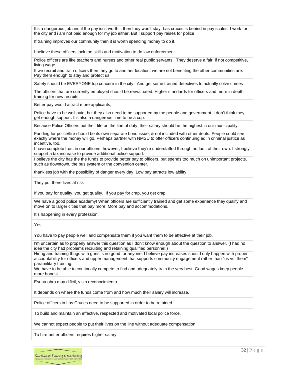It's a dangerous job and if the pay isn't worth it then they won't stay. Las cruces is behind in pay scales. I work for the city and i am not paid enough for my job either. But I support pay raises for police

If training improves our community then it is worth spending money to do it.

I believe these officers lack the skills and motivation to do law enforcement.

Police officers are like teachers and nurses and other real public servants. They deserve a fair, if not competitive, living wage.

If we recruit and train officers then they go to another location, we are not benefiting the other communities are. Pay them enough to stay and protect us.

Safety should be EVERYONE top concern in the city. And get some trained detectives to actually solve crimes

The officers that are currently employed should be reevaluated. Higher standards for officers and more in depth training for new recruits.

Better pay would attract more applicants,

Police have to be well paid, but they also need to be supported by the people and government. I don't think they get enough support. It's also a dangerous time to be a cop.

Because Police Officers put their life on the line of duty, their salary should be the highest in our municipality.

Funding for police/fire should be its own separate bond issue, & not included with other depts. People could see exactly where the money will go. Perhaps partner with NMSU to offer officers continuing ed in criminal justice as incentive, too.

I have complete trust in our officers, however; I believe they're understaffed through no fault of their own. I strongly support a tax increase to provide additional police support.

I believe the city has the the funds to provide better pay to officers, but spends too much on unimportant projects, such as downtown, the bus system or the convention center.

thankless job with the possibility of danger every day. Low pay attracts low ability

They put there lives at risk

If you pay for quality, you get quality. If you pay for crap, you get crap.

We have a good police academy! When officers are sufficiently trained and get some experience they qualify and move on to larger cities that pay more. More pay and accommodations.

It's happening in every profession.

Yes

You have to pay people well and compensate them if you want them to be effective at their job.

I'm uncertain as to properly answer this question as I don't know enough about the question to answer. (I had no idea the city had problems recruiting and retaining qualified personnel.)

Hiring and training thugs with guns is no good for anyone. I believe pay increases should only happen with proper accountability for officers and upper management that supports community engagement rather than "us vs. them" paramilitary training.

We have to be able to continually compete to find and adequately train the very best. Good wages keep people more honest.

Esuna obra muy dificil, y sin reconocimiento.

It depends on where the funds come from and how much their salary will increase.

Police officers in Las Cruces need to be supported in order to be retained.

To build and maintain an effective, respected and motivated local police force.

We cannot expect people to put their lives on the line without adequate compensation.

To hire better officers requires higher salary.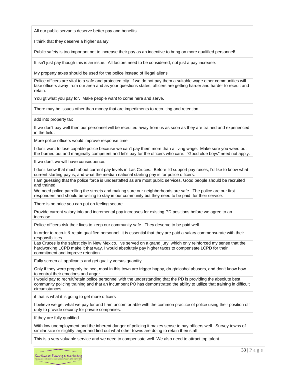All our public servants deserve better pay and benefits.

I think that they deserve a higher salary.

Public safety is too important not to increase their pay as an incentive to bring on more qualified personnel!

It isn't just pay though this is an issue. All factors need to be considered, not just a pay increase.

My property taxes should be used for the police instead of illegal aliens

Police officers are vital to a safe and protected city. If we do not pay them a suitable wage other communities will take officers away from our area and as your questions states, officers are getting harder and harder to recruit and retain.

You gt what you pay for. Make people want to come here and serve.

There may be issues other than money that are impediments to recruiting and retention.

add into property tax

If we don't pay well then our personnel will be recruited away from us as soon as they are trained and experienced in the field.

More police officers would improve response time

I don't want to lose capable police because we can't pay them more than a living wage. Make sure you weed out the burned out and marginally competent and let's pay for the officers who care. "Good olde boys" need not apply.

If we don't we will have consequence.

I don't know that much about current pay levels in Las Cruces. Before I'd support pay raises, I'd like to know what current starting pay is, and what the median national starting pay is for police officers.

I am guessing that the police force is understaffed as are most public services. Good people should be recruited and trained,

We need police patrolling the streets and making sure our neighborhoods are safe. The police are our first responders and should be willing to stay in our community but they need to be paid for their service.

There is no price you can put on feeling secure

Provide current salary info and incremental pay increases for existing PD positions before we agree to an increase.

Police officers risk their lives to keep our community safe. They deserve to be paid well.

In order to recruit & retain qualified personnel, it is essential that they are paid a salary commensurate with their responsibilities.

Las Cruces is the safest city in New Mexico. I've served on a grand jury, which only reinforced my sense that the hardworking LCPD make it that way. I would absolutely pay higher taxes to compensate LCPD for their commitment and improve retention.

Fully screen all applicants and get quality versus quantity.

Only if they were properly trained, most in this town are trigger happy, drug/alcohol abusers, and don't know how to control their emotions and anger.

I would pay to recruit/retain police personnel with the understanding that the PD is providing the absolute best community policing training and that an incumbent PO has demonstrated the ability to utilize that training in difficult circumstances.

if that is what it is going to get more officers

I believe we get what we pay for and I am uncomfortable with the common practice of police using their position off duty to provide security for private companies.

If they are fully qualified.

With low unemployment and the inherent danger of policing it makes sense to pay officers well. Survey towns of similar size or slightly larger and find out what other towns are doing to retain their staff.

This is a very valuable service and we need to compensate well. We also need to attract top talent

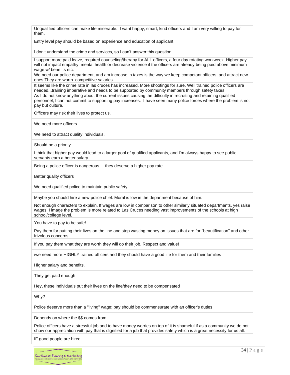Unqualified officers can make life miserable. I want happy, smart, kind officers and I am very willing to pay for them.

Entry level pay should be based on experience and education of applicant

I don't understand the crime and services, so I can't answer this question.

I support more paid leave, required counseling/therapy for ALL officers, a four day rotating workweek. Higher pay will not impact empathy, mental health or decrease violence if the officers are already being paid above minimum wage w/ benefits etc.

We need our police department, and am increase in taxes is the way we keep competant officers, and attract new ones.They are worth competitive salaries

It seems like the crime rate in las cruces has increased. More shootings for sure. Well trained police officers are needed...training imperative and needs to be supported by community members through safety taxes. As I do not know anything about the current issues causing the difficulty in recruiting and retaining qualified personnel, I can not commit to supporting pay increases. I have seen many police forces where the problem is not pay but culture.

Officers may risk their lives to protect us.

We need more officers

We need to attract quality individuals.

Should be a priority

I think that higher pay would lead to a larger pool of qualified applicants, and I'm always happy to see public servants earn a better salary.

Being a police officer is dangerous.....they deserve a higher pay rate.

Better quality officers

We need qualified police to maintain public safety.

Maybe you should hire a new police chief. Moral is low in the department because of him.

Not enough characters to explain. If wages are low in comparison to other similarly situated departments, yes raise wages. I image the problem is more related to Las Cruces needing vast improvements of the schools at high school/college level.

You have to pay to be safe!

Pay them for putting their lives on the line and stop wasting money on issues that are for "beautification" and other frivolous concerns.

If you pay them what they are worth they will do their job. Respect and value!

/we need more HIGHLY trained officers and they should have a good life for them and their families

Higher salary and benefits.

They get paid enough

Hey, these individuals put their lives on the line/they need to be compensated

Why?

Police deserve more than a "living" wage; pay should be commensurate with an officer's duties.

Depends on where the \$\$ comes from

Police officers have a stressful job and to have money worries on top of it is shameful if as a community we do not show our appreciation with pay that is dignified for a job that provides safety which is a great necessity for us all.

IF good people are hired.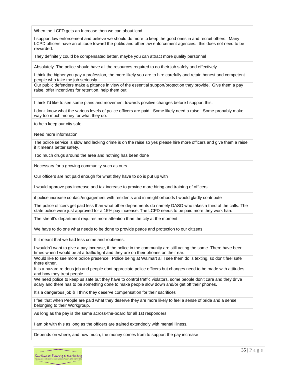When the LCFD gets an Increase then we can about lcpd

I support law enforcement and believe we should do more to keep the good ones in and recruit others. Many LCPD officers have an attitude toward the public and other law enforcement agencies. this does not need to be rewarded.

They definitely could be compensated better, maybe you can attract more quality personnel

Absolutely. The police should have all the resources required to do their job safely and effectively.

I think the higher you pay a profession, the more likely you are to hire carefully and retain honest and competent people who take the job seriously.

Our public defenders make a pittance in view of the essential support/protection they provide. Give them a pay raise, offer incentives for retention, help them out!

I think I'd like to see some plans and movement towards positive changes before I support this.

I don't know what the various levels of police officers are paid. Some likely need a raise. Some probably make way too much money for what they do.

to help keep our city safe.

Need more information

The police service is slow and lacking crime is on the raise so yes please hire more officers and give them a raise if it means better safety.

Too much drugs around the area and nothing has been done

Necessary for a growing community such as ours.

Our officers are not paid enough for what they have to do is put up with

I would approve pay increase and tax increase to provide more hiring and training of officers.

if police increase contact/engagement with residents and in neighborhoods I would gladly contribute

The police officers get paid less than what other departments do namely DASO who takes a third of the calls. The state police were just approved for a 15% pay increase. The LCPD needs to be paid more they work hard

The sheriff's department requires more attention than the city at the moment

We have to do one what needs to be done to provide peace and protection to our citizens.

If it meant that we had less crime and robberies.

I wouldn't want to give a pay increase, if the police in the community are still acting the same. There have been times when I would be at a traffic light and they are on their phones on their ear.

Would like to see more police presence. Police being at Walmart all I see them do is texting, so don't feel safe there either.

It is a hazard re dous job and people dont appreciate police officers but changes need to be made with attitudes and how they treat people

We need police to keep us safe but they have to control traffic violators, some people don't care and they drive scary and there has to be something done to make people slow down and/or get off their phones.

It's a dangerous job & I think they deserve compensation for their sacrifices

I feel that when People are paid what they deserve they are more likely to feel a sense of pride and a sense belonging to their Workgroup.

As long as the pay is the same across-the-board for all 1st responders

I am ok with this as long as the officers are trained extendedly with mental illness.

Depends on where, and how much, the money comes from to support the pay increase

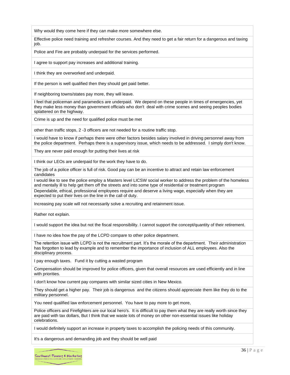Why would they come here if they can make more somewhere else.

Effective police need training and refresher courses. And they need to get a fair return for a dangerous and taxing job.

Police and Fire are probably underpaid for the services performed.

I agree to support pay increases and additional training.

I think they are overworked and underpaid.

If the person is well qualified then they should get paid better.

If neighboring towns/states pay more, they will leave.

I feel that policeman and paramedics are underpaid. We depend on these people in times of emergencies, yet they make less money than government officials who don't deal with crime scenes and seeing peoples bodies splattered on the highway.

Crime is up and the need for qualified police must be met

other than traffic stops, 2 -3 officers are not needed for a routine traffic stop.

I would have to know if perhaps there were other factors besides salary involved in driving personnel away from the police department. Perhaps there is a supervisory issue, which needs to be addressed. I simply don't know.

They are never paid enough for putting their lives at risk

I think our LEOs are underpaid for the work they have to do.

The job of a police officer is full of risk. Good pay can be an incentive to attract and retain law enforcement candidates

I would like to see the police employ a Masters level LICSW social worker to address the problem of the homeless and mentally ill to help get them off the streets and into some type of residential or treatment program

Dependable, ethical, professional employees require and deserve a living wage, especially when they are expected to put their lives on the line in the call of duty.

Increasing pay scale will not necessarily solve a recruiting and retainment issue.

Rather not explain.

I would support the idea but not the fiscal responsibility. I cannot support the concept/quantity of their retirement.

I have no idea how the pay of the LCPD compare to other police department.

The retention issue with LCPD is not the recruitment part. It's the morale of the department. Their administration has forgotten to lead by example and to remember the importance of inclusion of ALL employees. Also the disciplinary process.

I pay enough taxes. Fund it by cutting a wasted program

Compensation should be improved for police officers, given that overall resources are used efficiently and in line with priorities.

I don't know how current pay compares with similar sized cities in New Mexico.

They should get a higher pay. Their job is dangerous and the citizens should appreciate them like they do to the military personnel.

You need qualified law enforcement personnel. You have to pay more to get more,

Police officers and Firefighters are our local hero's. It is difficult to pay them what they are really worth since they are paid with tax dollars, But I think that we waste lots of money on other non-essential issues like holiday celebrations.

I would definitely support an increase in property taxes to accomplish the policing needs of this community.

It's a dangerous and demanding job and they should be well paid

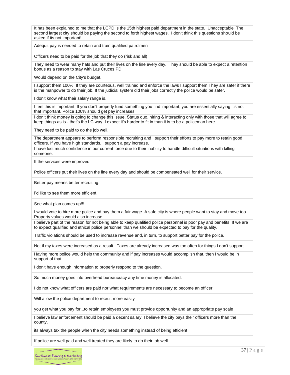It has been explained to me that the LCPD is the 15th highest paid department in the state. Unacceptable The second largest city should be paying the second to forth highest wages. I don't think this questions should be asked if its not important!

Adequit pay is needed to retain and train qualified patrolmen

Officers need to be paid for the job that they do (risk and all)

They need to wear many hats and put their lives on the line every day. They should be able to expect a retention bonus as a reason to stay with Las Cruces PD.

Would depend on the City's budget.

I support them 100%. If they are courteous, well trained and enforce the laws I support them.They are safer if there is the manpower to do their job. If the judicial system did their jobs correctly the police would be safer.

I don't know what their salary range is.

I feel this is important. If you don't properly fund something you find important, you are essentially saying it's not that important. Police 100% should get pay increases.

I don't think money is going to change this issue. Status quo, hiring & interacting only with those that will agree to keep things as is - that's the LC way. I expect it's harder to fit in than it is to be a policeman here.

They need to be paid to do the job well.

The department appears to perform responsible recruiting and I support their efforts to pay more to retain good officers. If you have high standards, I support a pay increase.

I have lost much confidence in our current force due to their inability to handle difficult situations with killing someone.

If the services were improved.

Police officers put their lives on the line every day and should be compensated well for their service.

Better pay means better recruiting.

I'd like to see them more efficient.

See what plan comes up!!!

I would vote to hire more police and pay them a fair wage. A safe city is where people want to stay and move too. Property values would also increase

I believe part of the reason for not being able to keep qualified police personnel is poor pay and benefits. If we are to expect qualified and ethical police personnel than we should be expected to pay for the quality.

Traffic violations should be used to increase revenue and, in turn, to support better pay for the police.

Not if my taxes were increased as a result. Taxes are already increased was too often for things I don't support.

Having more police would help the community and if pay increases would accomplish that, then I would be in support of that .

I don't have enough information to properly respond to the question.

So much money goes into overhead bureaucracy any time money is allocated.

I do not know what officers are paid nor what requirements are necessary to become an officer.

Will allow the police department to recruit more easily

you get what you pay for...to retain employees you must provide opportunity and an appropriate pay scale

I believe law enforcement should be paid a decent salary. I believe the city pays their officers more than the county.

its always tax the people when the city needs something instead of being efficient

If police are well paid and well treated they are likely to do their job well.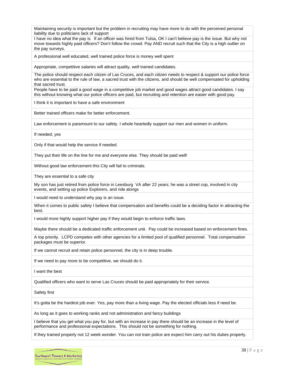Maintaining security is important but the problem in recruiting may have more to do with the perceived personal liability due to politicians lack of support

I have no idea what the pay is. If an officer was hired from Tulsa, OK I can't believe pay is the issue. But why not move towards highly paid officers? Don't follow the crowd. Pay AND recruit such that the City is a high outlier on the pay surveys.

A professional well educated, well trained police force is money well spent

Appropriate, competitive salaries will attract quality, well trained candidates.

The police should respect each citizen of Las Cruces, and each citizen needs to respect & support our police force who are essential to the rule of law, a sacred trust with the citizens, and should be well compensated for upholding that sacred trust.

People have to be paid a good wage in a competitive job market and good wages attract good candidates. I say this without knowing what our police officers are paid, but recruiting and retention are easier with good pay.

I think it is important to have a safe environment

Better trained officers make for better enforcement.

Law enforcement is paramount to our safety. I whole heartedly support our men and women in uniform.

If needed, yes

Only if that would help the service if needed.

They put their life on the line for me and everyone else. They should be paid well!

Without good law enforcement this City will fail to criminals.

They are essential to a safe city

My son has just retired from police force in Leesburg VA after 22 years; he was a street cop, involved in city events, and setting up police Explorers, and ride alongs

I would need to understand why pay is an issue.

When it comes to public safety I believe that compensation and benefits could be a deciding factor in attracting the best.

I would more highly support higher pay if they would begin to enforce traffic laws.

Maybe there should be a dedicated traffic enforcement unit. Pay could be increased based on enforcement fines.

A top priority. LCPD competes with other agencies for a limited pool of qualified personnel. Total compensation packages must be superior.

If we cannot recruit and retain police personnel, the city is in deep trouble.

If we need to pay more to be competitive, we should do it.

I want the best

Qualified officers who want to serve Las Cruces should be paid appropriately for their service.

Safety first

It's gotta be the hardest job ever. Yes, pay more than a living wage. Pay the elected officials less if need be.

As long as it goes to working ranks and not administration and fancy buildings

I believe that you get what you pay for, but with an increase in pay there should be an increase in the level of performance and professional expectations. This should not be something for nothing.

If they trained properly not 12 week wonder. You can not train police are expect him carry out his duties properly.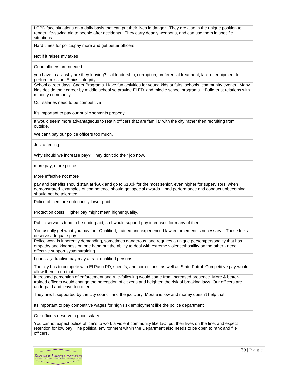LCPD face situations on a daily basis that can put their lives in danger. They are also in the unique position to render life-saving aid to people after accidents. They carry deadly weapons, and can use them in specific situations.

Hard times for police,pay more and get better officers

Not if it raises my taxes

Good officers are needed.

you have to ask why are they leaving? Is it leadership, corruption, preferential treatment, lack of equipment to perform mission. Ethics, integrity.

School career days. Cadet Programs. Have fun activities for young kids at fairs, schools, community events. Many kids decide their career by middle school so provide El ED and middle school programs. \*Build trust relations with minority community.

Our salaries need to be competitive

It's important to pay our public servants properly

It would seem more advantageous to retain officers that are familiar with the city rather then recruiting from outside.

We can't pay our police officers too much.

Just a feeling.

Why should we increase pay? They don't do their job now.

more pay, more police

More effective not more

pay and benefits should start at \$50k and go to \$100k for the most senior, even higher for supervisors. when demonstrated examples of competence should get special awards bad performance and conduct unbecoming should not be tolerated

Police officers are notoriously lower paid.

Protection costs. Higher pay might mean higher quality.

Public servants tend to be underpaid, so I would support pay increases for many of them.

You usually get what you pay for. Qualified, trained and experienced law enforcement is necessary. These folks deserve adequate pay.

Police work is inherently demanding, sometimes dangerous, and requires a unique person/personality that has empathy and kindness on one hand but the ability to deal with extreme violence/hostility on the other - need effective support system/training

I guess ,attractive pay may attract qualified persons

The city has to compete with El Paso PD, sheriffs, and corrections, as well as State Patrol. Competitive pay would allow them to do that.

Increased perception of enforcement and rule-following would come from increased presence. More & bettertrained officers would change the perception of citizens and heighten the risk of breaking laws. Our officers are underpaid and leave too often.

They are. It supported by the city council and the judiciary. Morale is low and money doesn't help that.

Its important to pay competitive wages for high risk employment like the police department

Our officers deserve a good salary.

You cannot expect police officer's to work a violent community like L/C, put their lives on the line, and expect retention for low pay. The political environment within the Department also needs to be open to rank and file officers.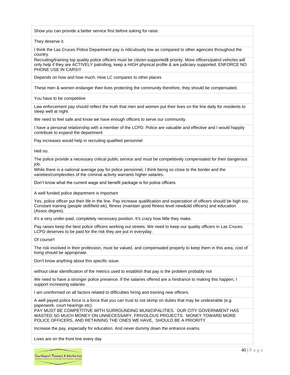Show you can provide a better service first before asking for raise.

They deserve it.

I think the Las Cruces Police Department pay is ridiculously low as compared to other agencies throughout the country.

Recruiting/training top quality police officers must be citizen-supported\$ priority. More officers/patrol vehicles will only help if they are ACTIVELY patrolling, keep a HIGH physical profile & are judiciary supported. ENFORCE NO PHONE USE IN CARS!!!

Depends on how and how much. How LC compares to other places

These men & women endanger their lives protecting the community therefore, they should be compensated.

You have to be competitive

Law enforcement pay should reflect the truth that men and women put their lives on the line daily for residents to sleep well at night.

We need to feel safe and know we have enough officers to serve our community.

I have a personal relationship with a member of the LCPD. Police are valuable and effective and I would happily contribute to expand the department

Pay increases would help in recruiting qualified personnel

Hell no.

The police provide a necessary critical public service and must be competitively compensated for their dangerous job.

While there is a national average pay for police personnel, I think being so close to the border and the varieties/complexities of the criminal activity warrants higher salaries.

Don't know what the current wage and benefit package is for police officers.

A well funded police department is important

Yes, police officer put their life in the line. Pay increase qualification and expectation of officers should be high too. Constant training (people skill/field wk), fitness (maintain good fitness level new&old officers) and education (Assoc.degree).

It's a very under-paid, completely necessary position. It's crazy how little they make.

Pay raises keep the best police officers working out streets. We need to keep our quality officers in Las Cruces. LCPD deserves to be paid for the risk they are put in everyday.

Of course!!

The risk involved in their profession, must be valued, and compensated properly to keep them in this area, cost of living should be appropriate.

Don't know anything about this specific issue.

without clear identification of the metrics used to establish that pay is the problem probably not

We need to have a stronger police presence. If the salaries offered are a hindrance to making this happen, I support increasing salaries.

I am uninformed on all factors related to difficulties hiring and training new officers.

A well payed police force is a force that you can trust to not skimp on duties that may be undesirable (e.g. paperwork, court hearings etc).

PAY MUST BE COMPETITIVE WITH SURROUNDING MUNICIPALITIES. OUR CITY GOVERNMENT HAS WASTED SO MUCH MONEY ON UNNECESSARY, FRIVOLOUS PROJECTS. MONEY TOWARD MORE POLICE OFFICERS, AND RETAINING THE ONES WE HAVE, SHOULD BE A PRIORITY.

Increase the pay, especially for education. And never dummy down the entrance exams.

Lives are on the front line every day

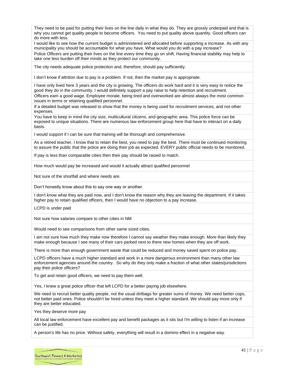They need to be paid for putting their lives on the line daily in what they do. They are grossly underpaid and that is why you cannot get quality people to become officers. You need to put quality above quantity. Good officers can do more with less.

I would like to see how the current budget is administered and allocated before supporting a increase. As with any municipality you should be accountable for what you have. What would you do with a pay increase?

Police Officers are putting their lives on the line every time they go on shift. Having financial stability may help to take one less burden off their minds as they protect our community.

The city needs adequate police protection and, therefore, should pay sufficiently.

I don't know if attrition due to pay is a problem. If not, then the market pay is appropriate.

I have only lived here 3 years and the city is growing. The officers do work hard and it is very easy to notice the good they do in the community. I would definitely support a pay raise to help retention and recruitment. Officers earn a good wage. Employee morale, being tired and overworked are almost always the most common issues in terms or retaining qualified personnel.

If a detailed budget was released to show that the money is being used for recruitment services, and not other expenses.

You have to keep in mind the city size, multicultural citizens, and geographic area. This police force can be exposed to unique situations. There are numerous law enforcement group here that have to interact on a daily basis.

I would support if I can be sure that training will be thorough and comprehensive.

As a retired teacher, I know that to retain the best, you need to pay the best. There must be continued monitoring to assure the public that the police are doing their job as expected. EVERY public official needs to be monitored.

If pay is less than comparable cities then their pay should be raised to match.

How much would pay be increased and would it actually attract qualified personnel

Not sure of the shortfall and where needs are.

Don't honestly know about this to say one way or another.

I don't know what they are paid now, and I don't know the reason why they are leaving the department. If it takes higher pay to retain qualified officers, then I would have no objection to a pay increase.

LCPD is under paid

Not sure how salaries compare to other cities in NM

Would need to see comparisons from other same sized cities.

I am not sure how much they make now therefore I cannot say weather they make enough. More than likely they make enough because I see many of their cars parked next to there new homes when they are off work.

There is more than enough government waste that could be reduced and money saved spent on police pay.

LCPD officers have a much higher standard and work in a more dangerous environment than many other law enforcement agencies around the country. So why do they only make a fraction of what other states/jurisdictions pay their police officers?

To get and retain good officers, we need to pay them well.

Yes, I knew a great police officer that left LCPD for a better paying job elsewhere.

We need to recruit better quality people, not the usual dirtbags for greater sums of money. We need better cops, not better paid ones. Police shouldn't be hired unless they meet a higher standard. We should pay more only if they are better educated.

Yes they deserve more pay

All local law enforcement have excellent pay and benefit packages as it sits but I'm willing to listen if an increase can be justified.

A person's life has no price. Without safety, everything will result in a domino effect in a negative way.

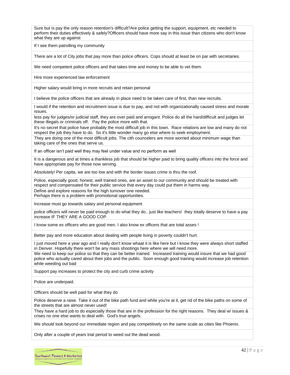Sure but is pay the only reason retention's difficult?Are police getting the support, equipment, etc needed to perform their duties effectively & safely?Officers should have more say in this issue than citizens who don't know what they are up against

If I see them patrolling my community

There are a lot of City jobs that pay more than police officers. Cops should at least be on par with secretaries.

We need competent police officers and that takes time and money to be able to vet them.

Hire more experienced law enforcement

Higher salary would bring in more recruits and retain personal

I believe the police officers that are already in place need to be taken care of first, than new recruits.

I would if the retention and recruitment issue is due to pay, and not with organizationally caused stress and morale issues.

less pay for judges/or judicial staff, they are over paid and arrogant. Police do all the hard/difficult and judges let these illegals or criminals off. Pay the police more with that.

It's no secret that police have probably the most difficult job in this town. Race relations are low and many do not respect the job they have to do. So it's little wonder many go else where to seek employment.

They are doing one of the most difficult jobs. The cith councelers are more worried about minimum wage than taking care of the ones that serve us.

If an officer isn't paid well they may feel under value and no perform as well

It is a dangerous and at times a thankless job that should be higher paid to bring quality officers into the force and have appropriate pay for those now serving.

Absolutely! Per capita, we are too low and with the border issues crime is thru the roof.

Police, especially good, honest, well trained ones, are an asset to our community and should be treated with respect and compensated for their public service that every day could put them in harms way.

Define and explore reasons for the high turnover one needed.

Perhaps there is a problem with promotional opportunities.

Increase must go towards salary and personal equipment

police officers will never be paid enough to do what they do.. just like teachers! they totally deserve to have a pay increase IF THEY ARE A GOOD COP.

I know some ex officers who are good men. I also know ex officers that are total asses !

Better pay and more education about dealing with people living in poverty couldn't hurt.

I just moved here a year ago and I really don't know whaat it is like here but I know they were always short staffed in Denver. Hopefully there won't be any mass shootings here where we will need more.

We need to keep our police so that they can be better trained. Increased training would insure that we had good police who actually cared about their jobs and the public. Soon enough good training would increase job retention while weeding out bad

Support pay increases to protect the city and curb crime activity

Police are underpaid.

Officers should be well paid for what they do

Police deserve a raise. Take it out of the bike path fund and while you're at it, get rid of the bike paths on some of the streets that are almost never used!

They have a hard job to do especially those that are in the profession for the right reasons. They deal w/ issues & crises no one else wants to deal with. God's true angels.

We should look beyond our immediate region and pay competitively on the same scale as cities like Phoenix.

Only after a couple of years trial period to weed out the dead wood.

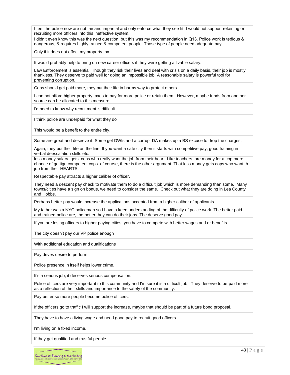I feel the police now are not fair and impartial and only enforce what they see fit. I would not support retaining or recruiting more officers into this ineffective system.

I didn't even know this was the next question, but this was my recommendation in Q13. Police work is tedious & dangerous, & requires highly trained & competent people. Those type of people need adequate pay.

Only if it does not effect my property tax

It would probably help to bring on new career officers if they were getting a livable salary.

Law Enforcement is essential. Though they risk their lives and deal with crisis on a daily basis, their job is mostly thankless. They deserve to paid well for doing an impossible job! A reasonable salary is powerful tool for preventing corruption.

Cops should get paid more, they put their life in harms way to protect others.

I can not afford higher property taxes to pay for more police or retain them. However, maybe funds from another source can be allocated to this measure.

I'd need to know why recruitment is difficult.

I think police are underpaid for what they do

This would be a benefit to the entire city.

Some are great and deseeve it. Some get DWIs and a corrupt DA makes up a BS excuse to drop the charges.

Again, they put their life on the line, If you want a safe city then it starts with competitive pay, good training in verbal deescalation skills etc.

less money salary gets cops who really want the job from their hear.t Like teachers. ore money for a cop more chance of gettign competent cops. of course, there is the other argumant. That less money gets cops who want th job from their HEARTS.

Respectable pay attracts a higher caliber of officer.

They need a descent pay check to motivate them to do a difficult job which is more demanding than some. Many towns/cities have a sign on bonus, we need to consider the same. Check out what they are doing in Lea County and Hobbs.

Perhaps better pay would increase the applications accepted from a higher caliber of applicants

My father was a NYC policeman so I have a keen understanding of the difficulty of police work. The better paid and trained police are, the better they can do their jobs. The deserve good pay.

If you are losing officers to higher paying cities, you have to compete with better wages and or benefits

The city doesn't pay our VP police enough

With additional education and qualifications

Pay drives desire to perform

Police presence in itself helps lower crime.

It's a serious job, it deserves serious compensation.

Police officers are very important to this community and I'm sure it is a difficult job. They deserve to be paid more as a reflection of their skills and importance to the safety of the community.

Pay better so more people become police officers.

If the officers go to traffic I will support the increase, maybe that should be part of a future bond proposal.

They have to have a living wage and need good pay to recruit good officers.

I'm living on a fixed income.

If they get qualified and trustful people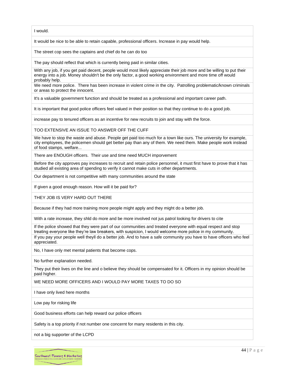I would.

It would be nice to be able to retain capable, professional officers. Increase in pay would help.

The street cop sees the captains and chief do he can do too

The pay should reflect that which is currently being paid in similar cities.

With any job, if you get paid decent, people would most likely appreciate their job more and be willing to put their energy into a job. Money shouldn't be the only factor, a good working environment and more time off would probably help.

We need more police. There has been increase in violent crime in the city. Patrolling problematic/known criminals or areas to protect the innocent.

It's a valuable government function and should be treated as a professional and important career path.

It is important that good police officers feel valued in their position so that they continue to do a good job.

increase pay to tenured officers as an incentive for new recruits to join and stay with the force.

TOO EXTENSIVE AN ISSUE TO ANSWER OFF THE CUFF

We have to stop the waste and abuse. People get paid too much for a town like ours. The university for example, city employees, the policemen should get better pay than any of them. We need them. Make people work instead of food stamps, welfare...

There are ENOUGH officers. Their use and time need MUCH imporvement

Before the city approves pay increases to recruit and retain police personnel, it must first have to prove that it has studied all existing area of spending to verify it cannot make cuts in other departments.

Our department is not competitive with many communities around the state

If given a good enough reason. How will it be paid for?

THEY JOB IS VERY HARD OUT THERE

Because if they had more training more people might apply and they might do a better job.

With a rate increase, they shld do more and be more involved not jus patrol looking for drivers to cite

If the police showed that they were part of our communities and treated everyone with equal respect and stop treating everyone like they're law breakers, with suspicion, I would welcome more police in my community. If you pay your people well theyll do a better job. And to have a safe community you have to have officers who feel appreciated.

No, I have only met mental patients that become cops.

No further explanation needed.

They put their lives on the line and o believe they should be compensated for it. Officers in my opinion should be paid higher.

WE NEED MORE OFFICERS AND I WOULD PAY MORE TAXES TO DO SO

I have only lived here months

Low pay for risking life

Good business efforts can help reward our police officers

Safety is a top priority if not number one concernt for many residents in this city.

not a big supporter of the LCPD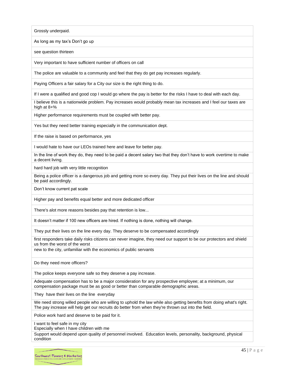Grossly underpaid.

As long as my tax's Don't go up

see question thirteen

Very important to have sufficient number of officers on call

The police are valuable to a community and feel that they do get pay increases regularly.

Paying Officers a fair salary for a City our size is the right thing to do.

If I were a qualified and good cop I would go where the pay is better for the risks I have to deal with each day.

I believe this is a nationwide problem. Pay increases would probably mean tax increases and I feel our taxes are high at 8+%

Higher performance requirements must be coupled with better pay.

Yes but they need better training especially in the communication dept.

If the raise is based on performance, yes

I would hate to have our LEOs trained here and leave for better pay.

In the line of work they do, they need to be paid a decent salary two that they don't have to work overtime to make a decent living.

hard hard job with very little recognition

Being a police officer is a dangerous job and getting more so every day. They put their lives on the line and should be paid accordingly.

Don't know current pat scale

Higher pay and benefits equal better and more dedicated officer

There's alot more reasons besides pay that retention is low...

It doesn't matter if 100 new officers are hired. If nothing is done, nothing will change.

They put their lives on the line every day. They deserve to be compensated accordingly

first responders take daily risks citizens can never imagine, they need our support to be our protectors and shield us from the worst of the worst

new to the city, unfamiliar with the economics of public servants

Do they need more officers?

The police keeps everyone safe so they deserve a pay increase.

Adequate compensation has to be a major consideration for any prospective employee; at a minimum, our compensation package must be as good or better than comparable demographic areas.

They have their lives on the line everyday

We need strong willed people who are willing to uphold the law while also getting benefits from doing what's right. The pay increase will help get our recruits do better from when they're thrown out into the field.

Police work hard and deserve to be paid for it.

I want to feel safe in my city

Especially when I have children with me

Support would depend upon quality of personnel involved. Education levels, personality, background, physical condition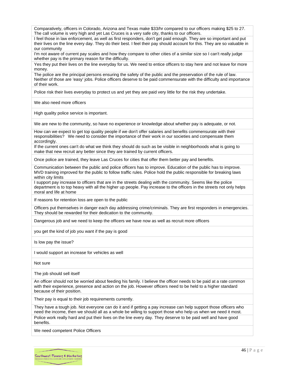Comparatively, officers in Colorado, Arizona and Texas make \$33/hr compared to our officers making \$25 to 27. The call volume is very high and yet Las Cruces is a very safe city, thanks to our officers.

I feel those in law enforcement, as well as first responders, don't get paid enough. They are so important and put their lives on the line every day. They do their best. I feel their pay should account for this. They are so valuable in our community

I'm not aware of current pay scales and how they compare to other cities of a similar size so I can't really judge whether pay is the primary reason for the difficulty.

Yes they put their lives on the line everyday for us. We need to entice officers to stay here and not leave for more money.

The police are the principal persons ensuring the safety of the public and the preservation of the rule of law. Neither of those are 'easy' jobs. Police officers deserve to be paid commensurate with the difficulty and importance of their work.

Police risk their lives everyday to protect us and yet they are paid very little for the risk they undertake.

We also need more officers

High quality police service is important.

We are new to the community, so have no experience or knowledge about whether pay is adequate, or not.

How can we expect to get top quality people if we don't offer salaries and benefits commensurate with their responsibilities? We need to consider the importance of their work in our societies and compensate them accordingly.

If the current ones can't do what we think they should do such as be visible in neighborhoods what is going to make that new recruit any better since they are trained by current officers.

Once police are trained, they leave Las Cruces for cities that offer them better pay and benefits.

Communication between the public and police officers has to improve. Education of the public has to improve. MVD training improved for the public to follow traffic rules. Police hold the public responsible for breaking laws within city limits

I support pay increase to officers that are in the streets dealing with the community. Seems like the police department is to top heavy with all the higher up people. Pay increase to the officers in the streets not only helps moral and life at home

If reasons for retention loss are open to the public

Officers put themselves in danger each day addressing crime/criminals. They are first responders in emergencies. They should be rewarded for their dedication to the community.

Dangerous job and we need to keep the officers we have now as well as recruit more officers

you get the kind of job you want if the pay is good

Is low pay the issue?

I would support an increase for vehicles as well

Not sure

The job should sell itself

An officer should not be worried about feeding his family. I believe the officer needs to be paid at a rate common with their experience, presence and action on the job. However officers need to be held to a higher standard because of their position.

Their pay is equal to their job requirements currently.

They have a tough job. Not everyone can do it and if getting a pay increase can help support those officers who need the income, then we should all as a whole be willing to support those who help us when we need it most. Police work really hard and put their lives on the line every day. They deserve to be paid well and have good benefits.

We need competent Police Officers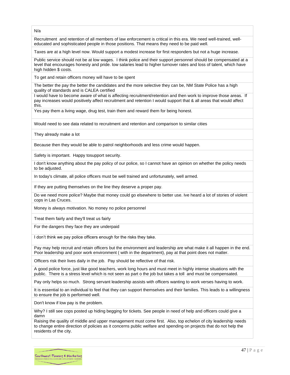N/a

Recruitment and retention of all members of law enforcement is critical in this era. We need well-trained, welleducated and sophisticated people in those positions. That means they need to be paid well.

Taxes are at a high level now. Would support a modest increase for first responders but not a huge increase.

Public service should not be at low wages. I think police and their support personnel should be compensated at a level that encourages honesty and pride. low salaries lead to higher turnover rates and loss of talent, which have high hidden \$ costs.

To get and retain officers money will have to be spent

The better the pay the better the candidates and the more selective they can be, NM State Police has a high quality of standards and is CALEA certified

I would have to become aware of what is affecting recruitment/retention and then work to improve those areas. If pay increases would positively affect recruitment and retention I would support that & all areas that would affect this.

Yes pay them a living wage, drug test, train them and reward them for being honest.

Would need to see data related to recruitment and retention and comparison to similar cities

They already make a lot

Because then they would be able to patrol neighborhoods and less crime would happen.

Safety is important. Happy tosupport security.

I don't know anything about the pay policy of our police, so I cannot have an opinion on whether the policy needs to be adjusted.

In today's climate, all police officers must be well trained and unfortunately, well armed.

If they are putting themselves on the line they deserve a proper pay.

Do we need more police? Maybe that money could go elsewhere to better use. Ive heard a lot of stories of violent cops in Las Cruces.

Money is always motivation. No money no police personnel

Treat them fairly and they'll treat us fairly

For the dangers they face they are underpaid

I don't think we pay police officers enough for the risks they take.

Pay may help recruit and retain officers but the environment and leadership are what make it all happen in the end. Poor leadership and poor work environment ( with in the department), pay at that point does not matter.

Officers risk their lives daily in the job. Pay should be reflective of that risk.

A good police force, just like good teachers, work long hours and must meet in highly intense situations with the public. There is a stress level which is not seen as part o the job but takes a toll and must be compensated.

Pay only helps so much. Strong servant leadership assists with officers wanting to work verses having to work.

It is essential to an individual to feel that they can support themselves and their families. This leads to a willingness to ensure the job is performed well.

Don't know if low pay is the problem.

Why? I still see cops posted up hiding begging for tickets. See people in need of help and officers could give a damn

Raising the quality of middle and upper management must come first. Also, top echelon of city leadership needs to change entire direction of policies as it concerns public welfare and spending on projects that do not help the residents of the city.

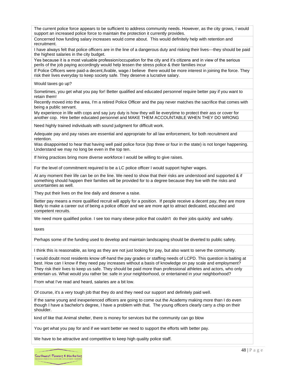The current police force appears to be sufficient to address community needs. However, as the city grows, I would support an increased police force to maintain the protection it currently provides.

Concerned how funding salary increases would come about. This would definitely help with retention and recruitment.

I have always felt that police officers are in the line of a dangerous duty and risking their lives---they should be paid the highest salaries in the city budget.

Yes because it is a most valuable profession/occupation for the city and it's citizens and in view of the serious perils of the job paying accordingly would help lessen the stress police & their families incur

If Police Officers were paid-a decent,Ilvable, wage.I believe there would be more interest in joining the force. They risk their lives everyday to keep society safe. They deserve a lucrative salary.

Would taxes go up?

Sometimes, you get what you pay for! Better qualified and educated personnel require better pay if you want to retain them!

Recently moved into the area, I'm a retired Police Officer and the pay never matches the sacrifice that comes with being a public servant.

My experience in life with cops and say jury duty is how they will lie everytime to protect their ass or cover for another cop. Hire better educated personnel and MAKE THEM ACCOUNTABLE WHEN THEY DO WRONG

Need highly trained individuals with sound judgment for difficult work.

Adequate pay and pay raises are essential and appropriate for all law enforcement, for both recruitment and retention.

Was disappointed to hear that having well paid police force (top three or four in the state) is not longer happening. Understand we may no long be even in the top ten.

If hiring practices bring more diverse workforce I would be willing to give raises.

For the level of commitment required to be a LC police officer I would support higher wages.

At any moment their life can be on the line. We need to show that their risks are understood and supported & if something should happen their families will be provided for to a degree because they live with the risks and uncertainties as well.

They put their lives on the line daily and deserve a raise.

Better pay means a more qualified recruit will apply for a position. If people receive a decent pay, they are more likely to make a career out of being a police officer and we are more apt to attract dedicated, educated and competent recruits.

We need more qualified police. I see too many obese police that couldn't do their jobs quickly and safely.

taxes

Perhaps some of the funding used to develop and maintain landscaping should be diverted to public safety.

I think this is reasonable, as long as they are not just looking for pay, but also want to serve the community.

I would doubt most residents know off-hand the pay grades or staffing needs of LCPD. This question is baiting at best. How can I know if they need pay increases without a basis of knowledge on pay scale and employment? They risk their lives to keep us safe. They should be paid more than professional athletes and actors, who only entertain us. What would you rather be: safe in your neighborhood, or entertained in your neighborhood?

From what I've read and heard, salaries are a bit low.

Of course, it's a very tough job that they do and they need our support and definitely paid well.

If the same young and inexperienced officers are going to come out the Academy making more than I do even though I have a bachelor's degree, I have a problem with that. The young officers clearly carry a chip on their shoulder.

kind of like that Animal shelter, there is money for services but the community can go blow

You get what you pay for and if we want better we need to support the efforts with better pay.

We have to be attractive and competitive to keep high quality police staff.

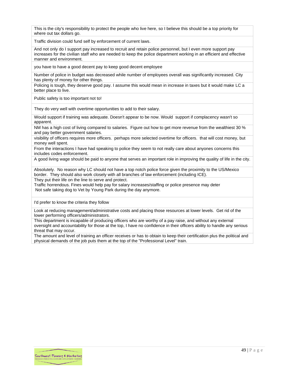This is the city's responsibility to protect the people who live here, so I believe this should be a top priority for where out tax dollars go.

Traffic division could fund self by enforcement of current laws.

And not only do I support pay increased to recruit and retain police personnel, but I even more support pay increases for the civilian staff who are needed to keep the police department working in an efficient and effective manner and environment.

you have to have a good decent pay to keep good decent employee

Number of police in budget was decreased while number of employees overall was significantly increased. City has plenty of money for other things.

Policing is tough, they deserve good pay. I assume this would mean in increase in taxes but it would make LC a better place to live.

Public safety is too important not to!

They do very well with overtime opportunities to add to their salary.

Would support if training was adequate. Doesn't appear to be now. Would support if complacency wasn't so apparent.

NM has a high cost of living compared to salaries. Figure out how to get more revenue from the wealthiest 30 % and pay better government salaries.

visibility of officers requires more officers. perhaps more selected overtime for officers. that will cost money, but money well spent.

From the interactions I have had speaking to police they seem to not really care about anyones concerns this includes codes enforcement.

A good living wage should be paid to anyone that serves an important role in improving the quality of life in the city.

Absolutely. No reason why LC should not have a top notch police force given the proximity to the US/Mexico border. They should also work closely with all branches of law enforcement (including ICE).

They put their life on the line to serve and protect.

Traffic horrendous. Fines would help pay for salary increases/staffing or police presence may deter Not safe taking dog to Vet by Young Park during the day anymore.

I'd prefer to know the criteria they follow

Look at reducing management/administrative costs and placing those resources at lower levels. Get rid of the lower performing officers/administrators.

This department is incapable of producing officers who are worthy of a pay raise, and without any external oversight and accountability for those at the top, I have no confidence in their officers ability to handle any serious threat that may occur.

The amount and level of training an officer receives or has to obtain to keep their certification plus the political and physical demands of the job puts them at the top of the "Professional Level" train.

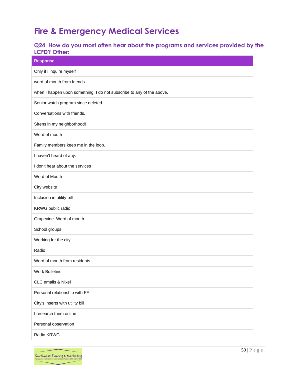# <span id="page-50-0"></span>**Fire & Emergency Medical Services**

# <span id="page-50-1"></span>**Q24. How do you most often hear about the programs and services provided by the LCFD? Other:**

| <b>Response</b>                                                       |
|-----------------------------------------------------------------------|
| Only if i inquire myself                                              |
| word of mouth from friends                                            |
| when I happen upon something. I do not subscribe to any of the above. |
| Senior watch program since deleted                                    |
| Conversations with friends.                                           |
| Sirens in my neighborhood!                                            |
| Word of mouth                                                         |
| Family members keep me in the loop.                                   |
| I haven't heard of any.                                               |
| I don't hear about the services                                       |
| Word of Mouth                                                         |
| City website                                                          |
| Inclusion in utility bill                                             |
| KRWG public radio                                                     |
| Grapevine. Word of mouth.                                             |
| School groups                                                         |
| Working for the city                                                  |
| Radio                                                                 |
| Word of mouth from residents                                          |
| <b>Work Bulletins</b>                                                 |
| CLC emails & Nixel                                                    |
| Personal relationship with FF                                         |
| City's inserts with utility bill                                      |
| I research them online                                                |
| Personal observation                                                  |
| Radio KRWG                                                            |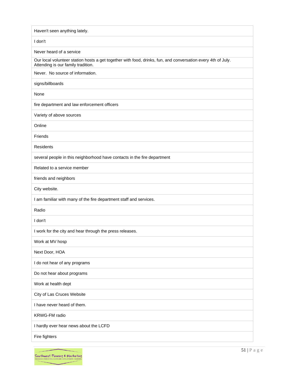| Haven't seen anything lately.                                                                                                                      |
|----------------------------------------------------------------------------------------------------------------------------------------------------|
| I don't                                                                                                                                            |
| Never heard of a service                                                                                                                           |
| Our local volunteer station hosts a get together with food, drinks, fun, and conversation every 4th of July.<br>Attending is our family tradition. |
| Never. No source of information.                                                                                                                   |
| signs/billboards                                                                                                                                   |
| None                                                                                                                                               |
| fire department and law enforcement officers                                                                                                       |
| Variety of above sources                                                                                                                           |
| Online                                                                                                                                             |
| Friends                                                                                                                                            |
| Residents                                                                                                                                          |
| several people in this neighborhood have contacts in the fire department                                                                           |
| Related to a service member                                                                                                                        |
| friends and neighbors                                                                                                                              |
| City website.                                                                                                                                      |
| I am familiar with many of the fire department staff and services.                                                                                 |
| Radio                                                                                                                                              |
| I don't                                                                                                                                            |
| I work for the city and hear through the press releases.                                                                                           |
| Work at MV hosp                                                                                                                                    |
| Next Door, HOA                                                                                                                                     |
| I do not hear of any programs                                                                                                                      |
| Do not hear about programs                                                                                                                         |
| Work at health dept                                                                                                                                |
| City of Las Cruces Website                                                                                                                         |
| I have never heard of them.                                                                                                                        |
| KRWG-FM radio                                                                                                                                      |
| I hardly ever hear news about the LCFD                                                                                                             |
| Fire fighters                                                                                                                                      |
|                                                                                                                                                    |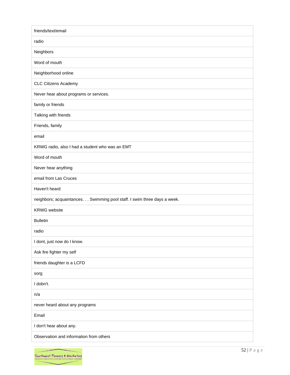| friends/text/email                                                       |
|--------------------------------------------------------------------------|
| radio                                                                    |
| Neighbors                                                                |
| Word of mouth                                                            |
| Neighborhood online                                                      |
| <b>CLC Citizens Academy</b>                                              |
| Never hear about programs or services.                                   |
| family or friends                                                        |
| Talking with friends                                                     |
| Friends, family                                                          |
| email                                                                    |
| KRWG radio, also I had a student who was an EMT                          |
| Word of mouth                                                            |
| Never hear anything                                                      |
| email from Las Cruces                                                    |
| Haven't heard                                                            |
| neighbors; acquaintances. Swimming pool staff. I swim three days a week. |
| <b>KRWG</b> website                                                      |
| <b>Bulletin</b>                                                          |
| radio                                                                    |
| I dont, just now do I know.                                              |
| Ask fire fighter my self                                                 |
| friends daughter is a LCFD                                               |
| sorg                                                                     |
| I dobn't.                                                                |
| n/a                                                                      |
| never heard about any programs                                           |
| Email                                                                    |
| I don't hear about any.                                                  |
| Observation and information from others                                  |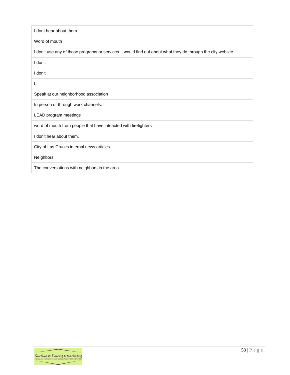| I dont hear about them                                                                                       |
|--------------------------------------------------------------------------------------------------------------|
| Word of mouth                                                                                                |
| I don't use any of those programs or services. I would find out about what they do through the city website. |
| I don't                                                                                                      |
| I don't                                                                                                      |
| L                                                                                                            |
| Speak at our neighborhood association                                                                        |
| In person or through work channels.                                                                          |
| LEAD program meetings                                                                                        |
| word of mouth from people that have inteacted with firefighters                                              |
| I don't hear about them.                                                                                     |
| City of Las Cruces internal news articles.                                                                   |
| Neighbors                                                                                                    |
| The conversations with neighbors in the area                                                                 |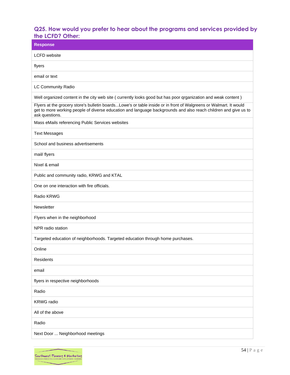## <span id="page-54-0"></span>**Q25. How would you prefer to hear about the programs and services provided by the LCFD? Other:**

| ШС LVI D ; VIIIСI.<br><b>Response</b>                                                                                                                                                                                                                  |
|--------------------------------------------------------------------------------------------------------------------------------------------------------------------------------------------------------------------------------------------------------|
| <b>LCFD</b> website                                                                                                                                                                                                                                    |
| flyers                                                                                                                                                                                                                                                 |
| email or text                                                                                                                                                                                                                                          |
| LC Community Radio                                                                                                                                                                                                                                     |
| Well organized content in the city web site ( currently looks good but has poor qrganization and weak content)                                                                                                                                         |
| Flyers at the grocery store's bulletin boardsLowe's or table inside or in front of Walgreens or Walmart. It would<br>get to more working people of diverse education and language backgrounds and also reach children and give us to<br>ask questions. |
| Mass eMails referencing Public Services websites                                                                                                                                                                                                       |
| <b>Text Messages</b>                                                                                                                                                                                                                                   |
| School and business advertisements                                                                                                                                                                                                                     |
| mail/ flyers                                                                                                                                                                                                                                           |
| Nixel & email                                                                                                                                                                                                                                          |
| Public and community radio, KRWG and KTAL                                                                                                                                                                                                              |
| One on one interaction with fire officials.                                                                                                                                                                                                            |
| Radio KRWG                                                                                                                                                                                                                                             |
| Newsletter                                                                                                                                                                                                                                             |
| Flyers when in the neighborhood                                                                                                                                                                                                                        |
| NPR radio station                                                                                                                                                                                                                                      |
| Targeted education of neighborhoods. Targeted education through home purchases.                                                                                                                                                                        |
| Online                                                                                                                                                                                                                                                 |
| Residents                                                                                                                                                                                                                                              |
| email                                                                                                                                                                                                                                                  |
| flyers in respective neighborhoods                                                                                                                                                                                                                     |
| Radio                                                                                                                                                                                                                                                  |
| <b>KRWG</b> radio                                                                                                                                                                                                                                      |
| All of the above                                                                                                                                                                                                                                       |
| Radio                                                                                                                                                                                                                                                  |
| Next Door  Neighborhood meetings                                                                                                                                                                                                                       |

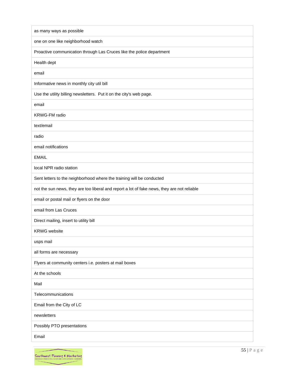| one on one like neighborhood watch<br>Proactive communication through Las Cruces like the police department<br>Health dept<br>email<br>Informative news in monthly city util bill<br>Use the utility billing newsletters. Put it on the city's web page.<br>email<br><b>KRWG-FM</b> radio<br>text/email<br>radio<br>email notifications<br><b>EMAIL</b><br>local NPR radio station<br>Sent letters to the neighborhood where the training will be conducted<br>not the sun news, they are too liberal and report a lot of fake news, they are not reliable<br>email or postal mail or flyers on the door<br>email from Las Cruces<br>Direct mailing, insert to utility bill<br><b>KRWG</b> website<br>usps mail<br>all forms are necessary<br>Flyers at community centers i.e. posters at mail boxes<br>At the schools<br>Mail<br>Telecommunications<br>Email from the City of LC<br>newsletters<br>Possibly PTO presentations | as many ways as possible |
|--------------------------------------------------------------------------------------------------------------------------------------------------------------------------------------------------------------------------------------------------------------------------------------------------------------------------------------------------------------------------------------------------------------------------------------------------------------------------------------------------------------------------------------------------------------------------------------------------------------------------------------------------------------------------------------------------------------------------------------------------------------------------------------------------------------------------------------------------------------------------------------------------------------------------------|--------------------------|
|                                                                                                                                                                                                                                                                                                                                                                                                                                                                                                                                                                                                                                                                                                                                                                                                                                                                                                                                |                          |
|                                                                                                                                                                                                                                                                                                                                                                                                                                                                                                                                                                                                                                                                                                                                                                                                                                                                                                                                |                          |
|                                                                                                                                                                                                                                                                                                                                                                                                                                                                                                                                                                                                                                                                                                                                                                                                                                                                                                                                |                          |
|                                                                                                                                                                                                                                                                                                                                                                                                                                                                                                                                                                                                                                                                                                                                                                                                                                                                                                                                |                          |
|                                                                                                                                                                                                                                                                                                                                                                                                                                                                                                                                                                                                                                                                                                                                                                                                                                                                                                                                |                          |
|                                                                                                                                                                                                                                                                                                                                                                                                                                                                                                                                                                                                                                                                                                                                                                                                                                                                                                                                |                          |
|                                                                                                                                                                                                                                                                                                                                                                                                                                                                                                                                                                                                                                                                                                                                                                                                                                                                                                                                |                          |
|                                                                                                                                                                                                                                                                                                                                                                                                                                                                                                                                                                                                                                                                                                                                                                                                                                                                                                                                |                          |
|                                                                                                                                                                                                                                                                                                                                                                                                                                                                                                                                                                                                                                                                                                                                                                                                                                                                                                                                |                          |
|                                                                                                                                                                                                                                                                                                                                                                                                                                                                                                                                                                                                                                                                                                                                                                                                                                                                                                                                |                          |
|                                                                                                                                                                                                                                                                                                                                                                                                                                                                                                                                                                                                                                                                                                                                                                                                                                                                                                                                |                          |
|                                                                                                                                                                                                                                                                                                                                                                                                                                                                                                                                                                                                                                                                                                                                                                                                                                                                                                                                |                          |
|                                                                                                                                                                                                                                                                                                                                                                                                                                                                                                                                                                                                                                                                                                                                                                                                                                                                                                                                |                          |
|                                                                                                                                                                                                                                                                                                                                                                                                                                                                                                                                                                                                                                                                                                                                                                                                                                                                                                                                |                          |
|                                                                                                                                                                                                                                                                                                                                                                                                                                                                                                                                                                                                                                                                                                                                                                                                                                                                                                                                |                          |
|                                                                                                                                                                                                                                                                                                                                                                                                                                                                                                                                                                                                                                                                                                                                                                                                                                                                                                                                |                          |
|                                                                                                                                                                                                                                                                                                                                                                                                                                                                                                                                                                                                                                                                                                                                                                                                                                                                                                                                |                          |
|                                                                                                                                                                                                                                                                                                                                                                                                                                                                                                                                                                                                                                                                                                                                                                                                                                                                                                                                |                          |
|                                                                                                                                                                                                                                                                                                                                                                                                                                                                                                                                                                                                                                                                                                                                                                                                                                                                                                                                |                          |
|                                                                                                                                                                                                                                                                                                                                                                                                                                                                                                                                                                                                                                                                                                                                                                                                                                                                                                                                |                          |
|                                                                                                                                                                                                                                                                                                                                                                                                                                                                                                                                                                                                                                                                                                                                                                                                                                                                                                                                |                          |
|                                                                                                                                                                                                                                                                                                                                                                                                                                                                                                                                                                                                                                                                                                                                                                                                                                                                                                                                |                          |
|                                                                                                                                                                                                                                                                                                                                                                                                                                                                                                                                                                                                                                                                                                                                                                                                                                                                                                                                |                          |
|                                                                                                                                                                                                                                                                                                                                                                                                                                                                                                                                                                                                                                                                                                                                                                                                                                                                                                                                |                          |
|                                                                                                                                                                                                                                                                                                                                                                                                                                                                                                                                                                                                                                                                                                                                                                                                                                                                                                                                |                          |
|                                                                                                                                                                                                                                                                                                                                                                                                                                                                                                                                                                                                                                                                                                                                                                                                                                                                                                                                |                          |
|                                                                                                                                                                                                                                                                                                                                                                                                                                                                                                                                                                                                                                                                                                                                                                                                                                                                                                                                |                          |
|                                                                                                                                                                                                                                                                                                                                                                                                                                                                                                                                                                                                                                                                                                                                                                                                                                                                                                                                |                          |
| Email                                                                                                                                                                                                                                                                                                                                                                                                                                                                                                                                                                                                                                                                                                                                                                                                                                                                                                                          |                          |

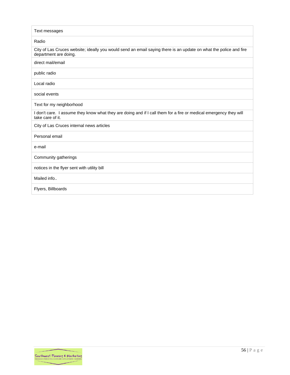| Text messages                                                                                                                              |
|--------------------------------------------------------------------------------------------------------------------------------------------|
| Radio                                                                                                                                      |
| City of Las Cruces website; ideally you would send an email saying there is an update on what the police and fire<br>department are doing. |
| direct mail/email                                                                                                                          |
| public radio                                                                                                                               |
| Local radio                                                                                                                                |
| social events                                                                                                                              |
| Text for my neighborhood                                                                                                                   |
| I don't care. I assume they know what they are doing and if I call them for a fire or medical emergency they will<br>take care of it.      |
| City of Las Cruces internal news articles                                                                                                  |
| Personal email                                                                                                                             |
| e-mail                                                                                                                                     |
| Community gatherings                                                                                                                       |
| notices in the flyer sent with utility bill                                                                                                |
| Mailed info                                                                                                                                |
| Flyers, Billboards                                                                                                                         |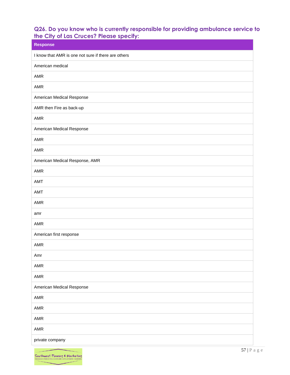## <span id="page-57-0"></span>**Q26. Do you know who is currently responsible for providing ambulance service to the City of Las Cruces? Please specify:**

| <b>Response</b>                                     |
|-----------------------------------------------------|
| I know that AMR is one not sure if there are others |
| American medical                                    |
| AMR                                                 |
| AMR                                                 |
| American Medical Response                           |
| AMR then Fire as back-up                            |
| AMR                                                 |
| American Medical Response                           |
| AMR                                                 |
| AMR                                                 |
| American Medical Response, AMR                      |
| AMR                                                 |
| <b>AMT</b>                                          |
| <b>AMT</b>                                          |
| AMR                                                 |
| amr                                                 |
| AMR                                                 |
| American first response                             |
| AMR                                                 |
| Amr                                                 |
| AMR                                                 |
| AMR                                                 |
| American Medical Response                           |
| AMR                                                 |
| AMR                                                 |
| AMR                                                 |
| AMR                                                 |
| private company                                     |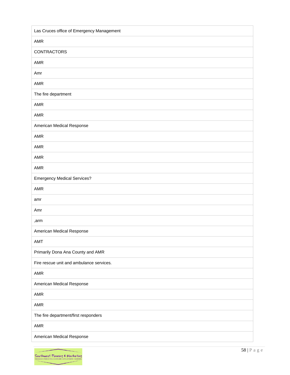| Las Cruces office of Emergency Management |
|-------------------------------------------|
| AMR                                       |
| <b>CONTRACTORS</b>                        |
| AMR                                       |
| Amr                                       |
| AMR                                       |
| The fire department                       |
| AMR                                       |
| AMR                                       |
| American Medical Response                 |
| AMR                                       |
| AMR                                       |
| AMR                                       |
| AMR                                       |
| <b>Emergency Medical Services?</b>        |
| AMR                                       |
| amr                                       |
| Amr                                       |
| ,arm                                      |
| American Medical Response                 |
| AMT                                       |
| Primarily Dona Ana County and AMR         |
| Fire rescue unit and ambulance services.  |
| AMR                                       |
| American Medical Response                 |
| AMR                                       |
| AMR                                       |
| The fire department/first responders      |
| AMR                                       |
| American Medical Response                 |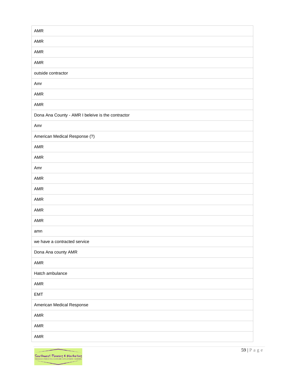| AMR                                               |
|---------------------------------------------------|
| AMR                                               |
| AMR                                               |
| AMR                                               |
| outside contractor                                |
| Amr                                               |
| AMR                                               |
| AMR                                               |
| Dona Ana County - AMR I beleive is the contractor |
| Amr                                               |
| American Medical Response (?)                     |
| AMR                                               |
| AMR                                               |
| Amr                                               |
| AMR                                               |
| AMR                                               |
| AMR                                               |
| AMR                                               |
| AMR                                               |
| amn                                               |
| we have a contracted service                      |
| Dona Ana county AMR                               |
| AMR                                               |
| Hatch ambulance                                   |
| AMR                                               |
| EMT                                               |
| American Medical Response                         |
| AMR                                               |
| AMR                                               |
| AMR                                               |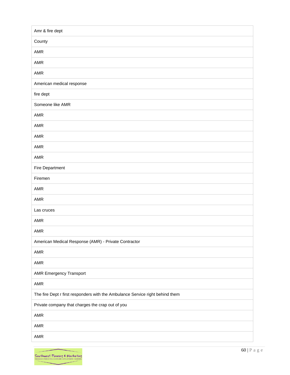| Amr & fire dept                                                               |
|-------------------------------------------------------------------------------|
| County                                                                        |
| <b>AMR</b>                                                                    |
| AMR                                                                           |
| <b>AMR</b>                                                                    |
| American medical response                                                     |
| fire dept                                                                     |
| Someone like AMR                                                              |
| AMR                                                                           |
| AMR                                                                           |
| <b>AMR</b>                                                                    |
| <b>AMR</b>                                                                    |
| AMR                                                                           |
| Fire Department                                                               |
| Firemen                                                                       |
| AMR                                                                           |
| AMR                                                                           |
| Las cruces                                                                    |
| AMR                                                                           |
| AMR                                                                           |
| American Medical Response (AMR) - Private Contractor                          |
| AMR                                                                           |
| AMR                                                                           |
| <b>AMR Emergency Transport</b>                                                |
| AMR                                                                           |
| The fire Dept r first responders with the Ambulance Service right behind them |
| Private company that charges the crap out of you                              |
| AMR                                                                           |
| AMR                                                                           |
| AMR                                                                           |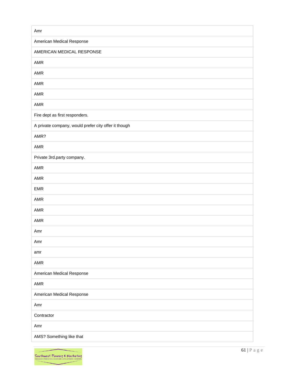| Amr                                                  |
|------------------------------------------------------|
| American Medical Response                            |
| AMERICAN MEDICAL RESPONSE                            |
| AMR                                                  |
| AMR                                                  |
| AMR                                                  |
| AMR                                                  |
| AMR                                                  |
| Fire dept as first responders.                       |
| A private company, would prefer city offer it though |
| AMR?                                                 |
| AMR                                                  |
| Private 3rd.party company.                           |
| AMR                                                  |
| AMR                                                  |
| EMR                                                  |
| AMR                                                  |
| AMR                                                  |
| AMR                                                  |
| Amr                                                  |
| Amr                                                  |
| amr                                                  |
| AMR                                                  |
| American Medical Response                            |
| AMR                                                  |
| American Medical Response                            |
| Amr                                                  |
| Contractor                                           |
| Amr                                                  |
| AMS? Something like that                             |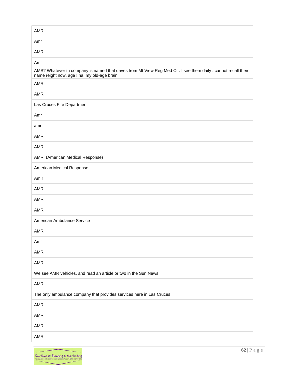| AMR                                                                                                                                                          |
|--------------------------------------------------------------------------------------------------------------------------------------------------------------|
| Amr                                                                                                                                                          |
| AMR                                                                                                                                                          |
| Amr                                                                                                                                                          |
| AMS? Whatever th company is named that drives from Mt View Reg Med Ctr. I see them daily . cannot recall their<br>name reight now. age ! ha my old-age brain |
| AMR                                                                                                                                                          |
| AMR                                                                                                                                                          |
| Las Cruces Fire Department                                                                                                                                   |
| Amr                                                                                                                                                          |
| amr                                                                                                                                                          |
| <b>AMR</b>                                                                                                                                                   |
| AMR                                                                                                                                                          |
| AMR (American Medical Response)                                                                                                                              |
| American Medical Response                                                                                                                                    |
| Am r                                                                                                                                                         |
| AMR                                                                                                                                                          |
| AMR                                                                                                                                                          |
| <b>AMR</b>                                                                                                                                                   |
| American Ambulance Service                                                                                                                                   |
| AMR                                                                                                                                                          |
| Amr                                                                                                                                                          |
| AMR                                                                                                                                                          |
| AMR                                                                                                                                                          |
| We see AMR vehicles, and read an article or two in the Sun News                                                                                              |
| AMR                                                                                                                                                          |
| The only ambulance company that provides services here in Las Cruces                                                                                         |
| AMR                                                                                                                                                          |
| AMR                                                                                                                                                          |
| AMR                                                                                                                                                          |
| AMR                                                                                                                                                          |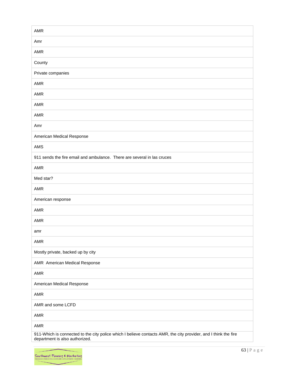| <b>AMR</b>                                                                                                                                        |
|---------------------------------------------------------------------------------------------------------------------------------------------------|
| Amr                                                                                                                                               |
| AMR                                                                                                                                               |
| County                                                                                                                                            |
| Private companies                                                                                                                                 |
| <b>AMR</b>                                                                                                                                        |
| AMR                                                                                                                                               |
| AMR                                                                                                                                               |
| <b>AMR</b>                                                                                                                                        |
| Amr                                                                                                                                               |
| American Medical Response                                                                                                                         |
| <b>AMS</b>                                                                                                                                        |
| 911 sends the fire email and ambulance. There are several in las cruces                                                                           |
| <b>AMR</b>                                                                                                                                        |
| Med star?                                                                                                                                         |
| AMR                                                                                                                                               |
| American response                                                                                                                                 |
| AMR                                                                                                                                               |
| <b>AMR</b>                                                                                                                                        |
| amr                                                                                                                                               |
| AMR                                                                                                                                               |
| Mostly private, backed up by city                                                                                                                 |
| AMR American Medical Response                                                                                                                     |
| AMR                                                                                                                                               |
| American Medical Response                                                                                                                         |
| AMR                                                                                                                                               |
| AMR and some LCFD                                                                                                                                 |
| AMR                                                                                                                                               |
| AMR                                                                                                                                               |
| 911-Which is connected to the city police which I believe contacts AMR, the city provider, and I think the fire<br>department is also authorized. |